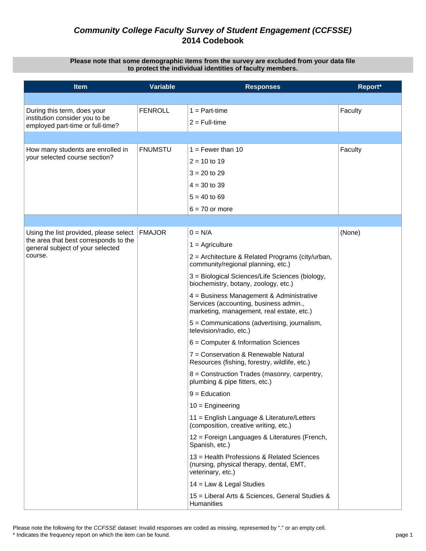#### **Please note that some demographic items from the survey are excluded from your data file to protect the individual identities of faculty members.**

| <b>Item</b>                                                                     | <b>Variable</b> | <b>Responses</b>                                                                                                                | Report* |
|---------------------------------------------------------------------------------|-----------------|---------------------------------------------------------------------------------------------------------------------------------|---------|
|                                                                                 |                 |                                                                                                                                 |         |
| During this term, does your                                                     | <b>FENROLL</b>  | $1 = Part-time$                                                                                                                 | Faculty |
| institution consider you to be<br>employed part-time or full-time?              |                 | $2 = Full-time$                                                                                                                 |         |
|                                                                                 |                 |                                                                                                                                 |         |
| How many students are enrolled in                                               | <b>FNUMSTU</b>  | $1 =$ Fewer than 10                                                                                                             | Faculty |
| your selected course section?                                                   |                 | $2 = 10$ to 19                                                                                                                  |         |
|                                                                                 |                 | $3 = 20$ to 29                                                                                                                  |         |
|                                                                                 |                 | $4 = 30$ to 39                                                                                                                  |         |
|                                                                                 |                 | $5 = 40$ to 69                                                                                                                  |         |
|                                                                                 |                 | $6 = 70$ or more                                                                                                                |         |
|                                                                                 |                 |                                                                                                                                 |         |
| Using the list provided, please select<br>the area that best corresponds to the | <b>FMAJOR</b>   | $0 = N/A$                                                                                                                       | (None)  |
| general subject of your selected                                                |                 | $1 =$ Agriculture                                                                                                               |         |
| course.                                                                         |                 | 2 = Architecture & Related Programs (city/urban,<br>community/regional planning, etc.)                                          |         |
|                                                                                 |                 | 3 = Biological Sciences/Life Sciences (biology,<br>biochemistry, botany, zoology, etc.)                                         |         |
|                                                                                 |                 | 4 = Business Management & Administrative<br>Services (accounting, business admin.,<br>marketing, management, real estate, etc.) |         |
|                                                                                 |                 | 5 = Communications (advertising, journalism,<br>television/radio, etc.)                                                         |         |
|                                                                                 |                 | $6 =$ Computer & Information Sciences                                                                                           |         |
|                                                                                 |                 | 7 = Conservation & Renewable Natural<br>Resources (fishing, forestry, wildlife, etc.)                                           |         |
|                                                                                 |                 | 8 = Construction Trades (masonry, carpentry,<br>plumbing & pipe fitters, etc.)                                                  |         |
|                                                                                 |                 | $9 =$ Education                                                                                                                 |         |
|                                                                                 |                 | $10 =$ Engineering                                                                                                              |         |
|                                                                                 |                 | 11 = English Language & Literature/Letters<br>(composition, creative writing, etc.)                                             |         |
|                                                                                 |                 | 12 = Foreign Languages & Literatures (French,<br>Spanish, etc.)                                                                 |         |
|                                                                                 |                 | 13 = Health Professions & Related Sciences<br>(nursing, physical therapy, dental, EMT,<br>veterinary, etc.)                     |         |
|                                                                                 |                 | 14 = Law & Legal Studies                                                                                                        |         |
|                                                                                 |                 | 15 = Liberal Arts & Sciences, General Studies &<br><b>Humanities</b>                                                            |         |

Please note the following for the *CCFSSE* dataset: Invalid responses are coded as missing, represented by "." or an empty cell. \* Indicates the frequency report on which the item can be found. page 1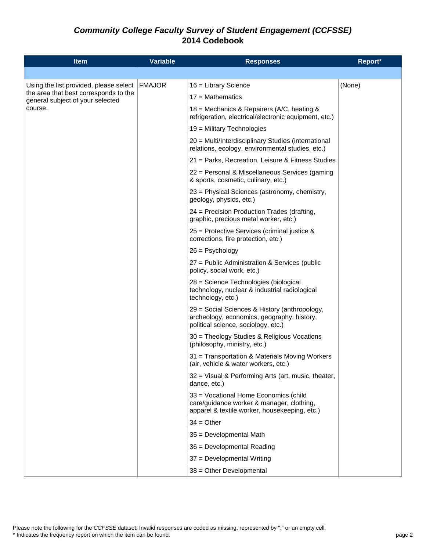| <b>Item</b>                                                                                                                    | <b>Variable</b> | <b>Responses</b>                                                                                                                    | Report* |
|--------------------------------------------------------------------------------------------------------------------------------|-----------------|-------------------------------------------------------------------------------------------------------------------------------------|---------|
|                                                                                                                                |                 |                                                                                                                                     |         |
| Using the list provided, please select<br>the area that best corresponds to the<br>general subject of your selected<br>course. | <b>FMAJOR</b>   | $16$ = Library Science                                                                                                              | (None)  |
|                                                                                                                                |                 | $17 = \text{Mathematics}$                                                                                                           |         |
|                                                                                                                                |                 | 18 = Mechanics & Repairers (A/C, heating &<br>refrigeration, electrical/electronic equipment, etc.)                                 |         |
|                                                                                                                                |                 | $19$ = Military Technologies                                                                                                        |         |
|                                                                                                                                |                 | 20 = Multi/Interdisciplinary Studies (international<br>relations, ecology, environmental studies, etc.)                             |         |
|                                                                                                                                |                 | 21 = Parks, Recreation, Leisure & Fitness Studies                                                                                   |         |
|                                                                                                                                |                 | 22 = Personal & Miscellaneous Services (gaming<br>& sports, cosmetic, culinary, etc.)                                               |         |
|                                                                                                                                |                 | 23 = Physical Sciences (astronomy, chemistry,<br>geology, physics, etc.)                                                            |         |
|                                                                                                                                |                 | 24 = Precision Production Trades (drafting,<br>graphic, precious metal worker, etc.)                                                |         |
|                                                                                                                                |                 | 25 = Protective Services (criminal justice &<br>corrections, fire protection, etc.)                                                 |         |
|                                                                                                                                |                 | $26 =$ Psychology                                                                                                                   |         |
|                                                                                                                                |                 | 27 = Public Administration & Services (public<br>policy, social work, etc.)                                                         |         |
|                                                                                                                                |                 | 28 = Science Technologies (biological<br>technology, nuclear & industrial radiological<br>technology, etc.)                         |         |
|                                                                                                                                |                 | 29 = Social Sciences & History (anthropology,<br>archeology, economics, geography, history,<br>political science, sociology, etc.)  |         |
|                                                                                                                                |                 | 30 = Theology Studies & Religious Vocations<br>(philosophy, ministry, etc.)                                                         |         |
|                                                                                                                                |                 | 31 = Transportation & Materials Moving Workers<br>(air, vehicle & water workers, etc.)                                              |         |
|                                                                                                                                |                 | 32 = Visual & Performing Arts (art, music, theater,<br>dance, etc.)                                                                 |         |
|                                                                                                                                |                 | 33 = Vocational Home Economics (child<br>care/guidance worker & manager, clothing,<br>apparel & textile worker, housekeeping, etc.) |         |
|                                                                                                                                |                 | $34 = Other$                                                                                                                        |         |
|                                                                                                                                |                 | 35 = Developmental Math                                                                                                             |         |
|                                                                                                                                |                 | 36 = Developmental Reading                                                                                                          |         |
|                                                                                                                                |                 | 37 = Developmental Writing                                                                                                          |         |
|                                                                                                                                |                 | 38 = Other Developmental                                                                                                            |         |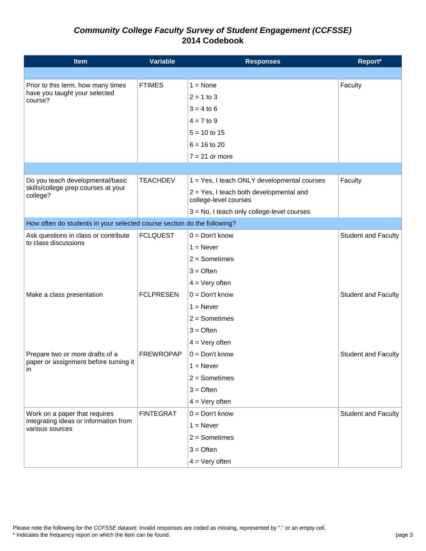| <b>Item</b>                                                             | <b>Variable</b>  | <b>Responses</b>                                                 | Report*                    |
|-------------------------------------------------------------------------|------------------|------------------------------------------------------------------|----------------------------|
|                                                                         |                  |                                                                  |                            |
| Prior to this term, how many times                                      | <b>FTIMES</b>    | $1 = \text{None}$                                                | Faculty                    |
| have you taught your selected<br>course?                                |                  | $2 = 1$ to 3                                                     |                            |
|                                                                         |                  | $3 = 4$ to 6                                                     |                            |
|                                                                         |                  | $4 = 7$ to 9                                                     |                            |
|                                                                         |                  | $5 = 10$ to 15                                                   |                            |
|                                                                         |                  | $6 = 16$ to 20                                                   |                            |
|                                                                         |                  | $7 = 21$ or more                                                 |                            |
|                                                                         |                  |                                                                  |                            |
| Do you teach developmental/basic                                        | <b>TEACHDEV</b>  | 1 = Yes, I teach ONLY developmental courses                      | Faculty                    |
| skills/college prep courses at your<br>college?                         |                  | 2 = Yes, I teach both developmental and<br>college-level courses |                            |
|                                                                         |                  | 3 = No, I teach only college-level courses                       |                            |
| How often do students in your selected course section do the following? |                  |                                                                  |                            |
| Ask questions in class or contribute                                    | <b>FCLQUEST</b>  | $0 = Don't know$                                                 | <b>Student and Faculty</b> |
| to class discussions                                                    |                  | $1 =$ Never                                                      |                            |
|                                                                         |                  | $2 =$ Sometimes                                                  |                            |
|                                                                         |                  | $3 =$ Often                                                      |                            |
|                                                                         |                  | $4 = \text{Very often}$                                          |                            |
| Make a class presentation                                               | <b>FCLPRESEN</b> | $0 = Don't know$                                                 | <b>Student and Faculty</b> |
|                                                                         |                  | $1 =$ Never                                                      |                            |
|                                                                         |                  | $2 =$ Sometimes                                                  |                            |
|                                                                         |                  | $3 =$ Often                                                      |                            |
|                                                                         |                  | $4 = \text{Very often}$                                          |                            |
| Prepare two or more drafts of a                                         | <b>FREWROPAP</b> | $0 = Don't know$                                                 | <b>Student and Faculty</b> |
| paper or assignment before turning it<br>in                             |                  | $1 =$ Never                                                      |                            |
|                                                                         |                  | $2 =$ Sometimes                                                  |                            |
|                                                                         |                  | $3 =$ Often                                                      |                            |
|                                                                         |                  | $4 = Very often$                                                 |                            |
| Work on a paper that requires                                           | <b>FINTEGRAT</b> | $0 = Don't know$                                                 | <b>Student and Faculty</b> |
| integrating ideas or information from<br>various sources                |                  | $1 =$ Never                                                      |                            |
|                                                                         |                  | $2 =$ Sometimes                                                  |                            |
|                                                                         |                  | $3 =$ Often                                                      |                            |
|                                                                         |                  | $4 = Very often$                                                 |                            |

Please note the following for the *CCFSSE* dataset: Invalid responses are coded as missing, represented by "." or an empty cell.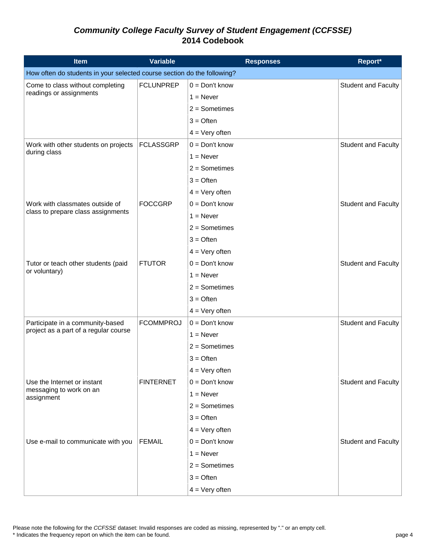| <b>Item</b>                                                             | <b>Variable</b>  | <b>Responses</b>        | Report*                    |
|-------------------------------------------------------------------------|------------------|-------------------------|----------------------------|
| How often do students in your selected course section do the following? |                  |                         |                            |
| Come to class without completing                                        | <b>FCLUNPREP</b> | $0 = Don't know$        | <b>Student and Faculty</b> |
| readings or assignments                                                 |                  | $1 =$ Never             |                            |
|                                                                         |                  | $2 =$ Sometimes         |                            |
|                                                                         |                  | $3 =$ Often             |                            |
|                                                                         |                  | $4 = \text{Very often}$ |                            |
| Work with other students on projects                                    | <b>FCLASSGRP</b> | $0 = Don't know$        | <b>Student and Faculty</b> |
| during class                                                            |                  | $1 =$ Never             |                            |
|                                                                         |                  | $2 =$ Sometimes         |                            |
|                                                                         |                  | $3 =$ Often             |                            |
|                                                                         |                  | $4 = Very often$        |                            |
| Work with classmates outside of                                         | <b>FOCCGRP</b>   | $0 = Don't know$        | <b>Student and Faculty</b> |
| class to prepare class assignments                                      |                  | $1 =$ Never             |                            |
|                                                                         |                  | $2 =$ Sometimes         |                            |
|                                                                         |                  | $3 =$ Often             |                            |
|                                                                         |                  | $4 = Very often$        |                            |
| Tutor or teach other students (paid                                     | <b>FTUTOR</b>    | $0 = Don't know$        | <b>Student and Faculty</b> |
| or voluntary)                                                           |                  | $1 =$ Never             |                            |
|                                                                         |                  | $2 =$ Sometimes         |                            |
|                                                                         |                  | $3 =$ Often             |                            |
|                                                                         |                  | $4 = \text{Very often}$ |                            |
| Participate in a community-based                                        | <b>FCOMMPROJ</b> | $0 = Don't know$        | Student and Faculty        |
| project as a part of a regular course                                   |                  | $1 =$ Never             |                            |
|                                                                         |                  | $2 =$ Sometimes         |                            |
|                                                                         |                  | $3 =$ Often             |                            |
|                                                                         |                  | $4 = Very$ often        |                            |
| Use the Internet or instant                                             | <b>FINTERNET</b> | $0 = Don't know$        | <b>Student and Faculty</b> |
| messaging to work on an<br>assignment                                   |                  | $1 =$ Never             |                            |
|                                                                         |                  | $2 =$ Sometimes         |                            |
|                                                                         |                  | $3 =$ Often             |                            |
|                                                                         |                  | $4 = \text{Very often}$ |                            |
| Use e-mail to communicate with you                                      | <b>FEMAIL</b>    | $0 = Don't know$        | <b>Student and Faculty</b> |
|                                                                         |                  | $1 =$ Never             |                            |
|                                                                         |                  | $2 =$ Sometimes         |                            |
|                                                                         |                  | $3 =$ Often             |                            |
|                                                                         |                  | $4 = Very often$        |                            |

Please note the following for the *CCFSSE* dataset: Invalid responses are coded as missing, represented by "." or an empty cell.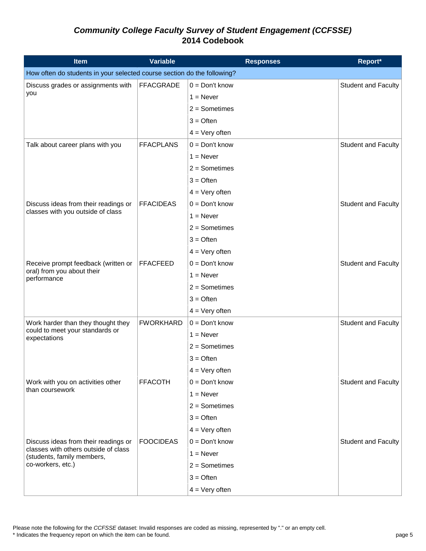| <b>Item</b>                                                             | <b>Variable</b>  | <b>Responses</b> | Report*                    |
|-------------------------------------------------------------------------|------------------|------------------|----------------------------|
| How often do students in your selected course section do the following? |                  |                  |                            |
| Discuss grades or assignments with                                      | <b>FFACGRADE</b> | $0 = Don't know$ | <b>Student and Faculty</b> |
| you                                                                     |                  | $1 =$ Never      |                            |
|                                                                         |                  | $2 =$ Sometimes  |                            |
|                                                                         |                  | $3 =$ Often      |                            |
|                                                                         |                  | $4 = Very often$ |                            |
| Talk about career plans with you                                        | <b>FFACPLANS</b> | $0 = Don't know$ | <b>Student and Faculty</b> |
|                                                                         |                  | $1 =$ Never      |                            |
|                                                                         |                  | $2 =$ Sometimes  |                            |
|                                                                         |                  | $3 =$ Often      |                            |
|                                                                         |                  | $4 = Very often$ |                            |
| Discuss ideas from their readings or                                    | <b>FFACIDEAS</b> | $0 = Don't know$ | Student and Faculty        |
| classes with you outside of class                                       |                  | $1 =$ Never      |                            |
|                                                                         |                  | $2 =$ Sometimes  |                            |
|                                                                         |                  | $3 =$ Often      |                            |
|                                                                         |                  | $4 = Very often$ |                            |
| Receive prompt feedback (written or                                     | <b>FFACFEED</b>  | $0 = Don't know$ | Student and Faculty        |
| oral) from you about their<br>performance                               |                  | $1 =$ Never      |                            |
|                                                                         |                  | $2 =$ Sometimes  |                            |
|                                                                         |                  | $3 =$ Often      |                            |
|                                                                         |                  | $4 = Very often$ |                            |
| Work harder than they thought they                                      | <b>FWORKHARD</b> | $0 = Don't know$ | <b>Student and Faculty</b> |
| could to meet your standards or<br>expectations                         |                  | $1 =$ Never      |                            |
|                                                                         |                  | $2 =$ Sometimes  |                            |
|                                                                         |                  | $3 =$ Often      |                            |
|                                                                         |                  | $4 = Very$ often |                            |
| Work with you on activities other                                       | <b>FFACOTH</b>   | $0 = Don't know$ | Student and Faculty        |
| than coursework                                                         |                  | $1 =$ Never      |                            |
|                                                                         |                  | $2 =$ Sometimes  |                            |
|                                                                         |                  | $3 =$ Often      |                            |
|                                                                         |                  | $4 = Very often$ |                            |
| Discuss ideas from their readings or                                    | <b>FOOCIDEAS</b> | $0 = Don't know$ | <b>Student and Faculty</b> |
| classes with others outside of class<br>(students, family members,      |                  | $1 =$ Never      |                            |
| co-workers, etc.)                                                       |                  | $2 =$ Sometimes  |                            |
|                                                                         |                  | $3 =$ Often      |                            |
|                                                                         |                  | $4 = Very often$ |                            |

Please note the following for the *CCFSSE* dataset: Invalid responses are coded as missing, represented by "." or an empty cell.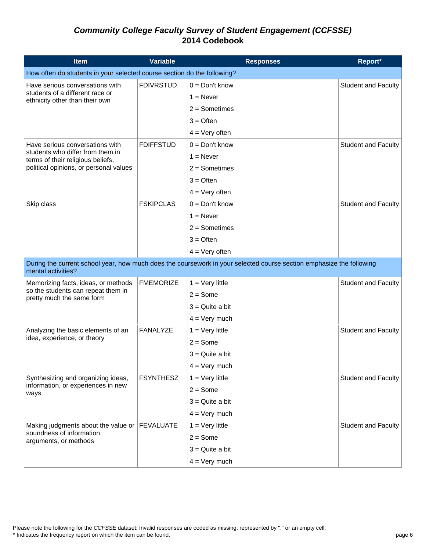| <b>Item</b>                                                             | <b>Variable</b>  | <b>Responses</b>                                                                                                     | Report*                    |
|-------------------------------------------------------------------------|------------------|----------------------------------------------------------------------------------------------------------------------|----------------------------|
| How often do students in your selected course section do the following? |                  |                                                                                                                      |                            |
| Have serious conversations with                                         | <b>FDIVRSTUD</b> | $0 = Don't know$                                                                                                     | <b>Student and Faculty</b> |
| students of a different race or<br>ethnicity other than their own       |                  | $1 =$ Never                                                                                                          |                            |
|                                                                         |                  | $2 =$ Sometimes                                                                                                      |                            |
|                                                                         |                  | $3 =$ Often                                                                                                          |                            |
|                                                                         |                  | $4 = Very often$                                                                                                     |                            |
| Have serious conversations with                                         | <b>FDIFFSTUD</b> | $0 = Don't know$                                                                                                     | <b>Student and Faculty</b> |
| students who differ from them in<br>terms of their religious beliefs,   |                  | $1 =$ Never                                                                                                          |                            |
| political opinions, or personal values                                  |                  | $2 =$ Sometimes                                                                                                      |                            |
|                                                                         |                  | $3 =$ Often                                                                                                          |                            |
|                                                                         |                  | $4 = Very often$                                                                                                     |                            |
| Skip class                                                              | <b>FSKIPCLAS</b> | $0 = Don't know$                                                                                                     | <b>Student and Faculty</b> |
|                                                                         |                  | $1 =$ Never                                                                                                          |                            |
|                                                                         |                  | $2 =$ Sometimes                                                                                                      |                            |
|                                                                         |                  | $3 =$ Often                                                                                                          |                            |
|                                                                         |                  | $4 = Very often$                                                                                                     |                            |
| mental activities?                                                      |                  | During the current school year, how much does the coursework in your selected course section emphasize the following |                            |
| Memorizing facts, ideas, or methods                                     | <b>FMEMORIZE</b> | $1 = \text{Very little}$                                                                                             | Student and Faculty        |
| so the students can repeat them in<br>pretty much the same form         |                  | $2 = Some$                                                                                                           |                            |
|                                                                         |                  | $3 =$ Quite a bit                                                                                                    |                            |
|                                                                         |                  | $4 = \text{Very much}$                                                                                               |                            |
| Analyzing the basic elements of an                                      | FANALYZE         | $1 = \text{Very little}$                                                                                             | <b>Student and Faculty</b> |
| idea, experience, or theory                                             |                  | $2 = Some$                                                                                                           |                            |
|                                                                         |                  | $3 =$ Quite a bit                                                                                                    |                            |
|                                                                         |                  | $4 = \text{Very much}$                                                                                               |                            |
| Synthesizing and organizing ideas,                                      | <b>FSYNTHESZ</b> | $1 = \text{Very little}$                                                                                             | Student and Faculty        |
| information, or experiences in new<br>ways                              |                  | $2 = Some$                                                                                                           |                            |
|                                                                         |                  | $3 =$ Quite a bit                                                                                                    |                            |
|                                                                         |                  | $4 = \text{Very much}$                                                                                               |                            |
| Making judgments about the value or FEVALUATE                           |                  | $1 = \text{Very little}$                                                                                             | Student and Faculty        |
| soundness of information,<br>arguments, or methods                      |                  | $2 = Some$                                                                                                           |                            |
|                                                                         |                  | $3 =$ Quite a bit                                                                                                    |                            |
|                                                                         |                  | $4 = \text{Very much}$                                                                                               |                            |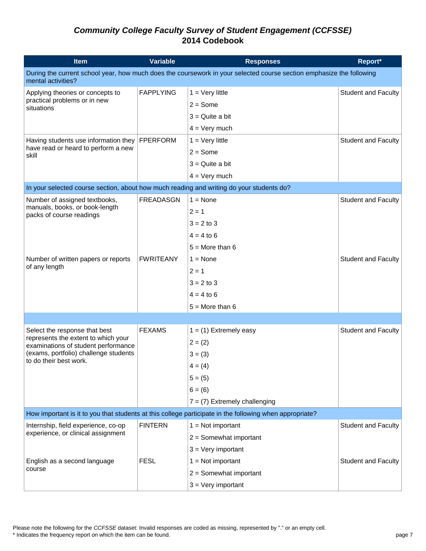| <b>Item</b>                                                                              | <b>Variable</b>  | <b>Responses</b>                                                                                                     | Report*                    |
|------------------------------------------------------------------------------------------|------------------|----------------------------------------------------------------------------------------------------------------------|----------------------------|
| mental activities?                                                                       |                  | During the current school year, how much does the coursework in your selected course section emphasize the following |                            |
| Applying theories or concepts to                                                         | <b>FAPPLYING</b> | $1 = \text{Very little}$                                                                                             | <b>Student and Faculty</b> |
| practical problems or in new<br>situations                                               |                  | $2 = Some$                                                                                                           |                            |
|                                                                                          |                  | $3 =$ Quite a bit                                                                                                    |                            |
|                                                                                          |                  | $4 = Very much$                                                                                                      |                            |
| Having students use information they                                                     | <b>FPERFORM</b>  | $1 =$ Very little                                                                                                    | <b>Student and Faculty</b> |
| have read or heard to perform a new<br>skill                                             |                  | $2 = Some$                                                                                                           |                            |
|                                                                                          |                  | $3 =$ Quite a bit                                                                                                    |                            |
|                                                                                          |                  | $4 = \text{Very much}$                                                                                               |                            |
| In your selected course section, about how much reading and writing do your students do? |                  |                                                                                                                      |                            |
| Number of assigned textbooks,                                                            | <b>FREADASGN</b> | $1 = \text{None}$                                                                                                    | <b>Student and Faculty</b> |
| manuals, books, or book-length<br>packs of course readings                               |                  | $2 = 1$                                                                                                              |                            |
|                                                                                          |                  | $3 = 2$ to 3                                                                                                         |                            |
|                                                                                          |                  | $4 = 4$ to 6                                                                                                         |                            |
|                                                                                          |                  | $5 =$ More than 6                                                                                                    |                            |
| Number of written papers or reports                                                      | <b>FWRITEANY</b> | $1 = \text{None}$                                                                                                    | <b>Student and Faculty</b> |
| of any length                                                                            |                  | $2 = 1$                                                                                                              |                            |
|                                                                                          |                  | $3 = 2$ to 3                                                                                                         |                            |
|                                                                                          |                  | $4 = 4$ to 6                                                                                                         |                            |
|                                                                                          |                  | $5 =$ More than 6                                                                                                    |                            |
|                                                                                          |                  |                                                                                                                      |                            |
| Select the response that best                                                            | <b>FEXAMS</b>    | $1 = (1)$ Extremely easy                                                                                             | <b>Student and Faculty</b> |
| represents the extent to which your<br>examinations of student performance               |                  | $2 = (2)$                                                                                                            |                            |
| (exams, portfolio) challenge students                                                    |                  | $3 = (3)$                                                                                                            |                            |
| to do their best work.                                                                   |                  | $4 = (4)$                                                                                                            |                            |
|                                                                                          |                  | $5 = (5)$                                                                                                            |                            |
|                                                                                          |                  | $6 = (6)$                                                                                                            |                            |
|                                                                                          |                  | $7 = (7)$ Extremely challenging                                                                                      |                            |
|                                                                                          |                  | How important is it to you that students at this college participate in the following when appropriate?              |                            |
| Internship, field experience, co-op                                                      | <b>FINTERN</b>   | $1 = Not important$                                                                                                  | <b>Student and Faculty</b> |
| experience, or clinical assignment                                                       |                  | $2 =$ Somewhat important                                                                                             |                            |
|                                                                                          |                  | $3 = Very$ important                                                                                                 |                            |
| English as a second language                                                             | <b>FESL</b>      | $1 = Not important$                                                                                                  | <b>Student and Faculty</b> |
| course                                                                                   |                  | $2 =$ Somewhat important                                                                                             |                            |
|                                                                                          |                  | $3 = Very$ important                                                                                                 |                            |

Please note the following for the *CCFSSE* dataset: Invalid responses are coded as missing, represented by "." or an empty cell.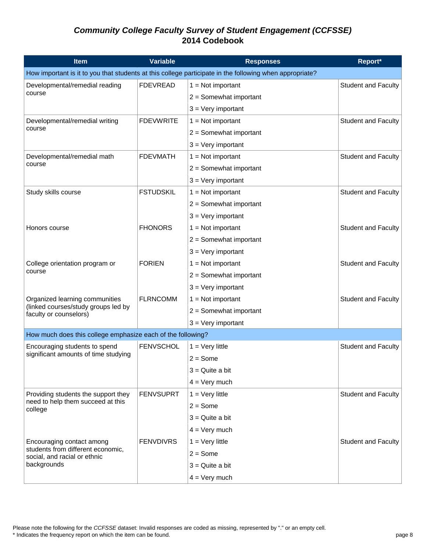| <b>Item</b>                                                       | <b>Variable</b>  | <b>Responses</b>                                                                                        | Report*                    |
|-------------------------------------------------------------------|------------------|---------------------------------------------------------------------------------------------------------|----------------------------|
|                                                                   |                  | How important is it to you that students at this college participate in the following when appropriate? |                            |
| Developmental/remedial reading                                    | <b>FDEVREAD</b>  | $1 = Not important$                                                                                     | <b>Student and Faculty</b> |
| course                                                            |                  | $2 =$ Somewhat important                                                                                |                            |
|                                                                   |                  | $3 = Very$ important                                                                                    |                            |
| Developmental/remedial writing                                    | <b>FDEVWRITE</b> | $1 = Not important$                                                                                     | <b>Student and Faculty</b> |
| course                                                            |                  | $2 =$ Somewhat important                                                                                |                            |
|                                                                   |                  | $3 = Very$ important                                                                                    |                            |
| Developmental/remedial math                                       | <b>FDEVMATH</b>  | $1 = Not important$                                                                                     | <b>Student and Faculty</b> |
| course                                                            |                  | $2 =$ Somewhat important                                                                                |                            |
|                                                                   |                  | $3 = Very$ important                                                                                    |                            |
| Study skills course                                               | <b>FSTUDSKIL</b> | $1 = Not important$                                                                                     | <b>Student and Faculty</b> |
|                                                                   |                  | $2 =$ Somewhat important                                                                                |                            |
|                                                                   |                  | $3 =$ Very important                                                                                    |                            |
| Honors course                                                     | <b>FHONORS</b>   | $1 = Not important$                                                                                     | <b>Student and Faculty</b> |
|                                                                   |                  | $2 =$ Somewhat important                                                                                |                            |
|                                                                   |                  | $3 = Very$ important                                                                                    |                            |
| College orientation program or                                    | <b>FORIEN</b>    | $1 = Not important$                                                                                     | Student and Faculty        |
| course                                                            |                  | $2 =$ Somewhat important                                                                                |                            |
|                                                                   |                  | $3 = Very$ important                                                                                    |                            |
| Organized learning communities                                    | <b>FLRNCOMM</b>  | $1 = Not important$                                                                                     | <b>Student and Faculty</b> |
| (linked courses/study groups led by<br>faculty or counselors)     |                  | $2 =$ Somewhat important                                                                                |                            |
|                                                                   |                  | $3 = Very$ important                                                                                    |                            |
| How much does this college emphasize each of the following?       |                  |                                                                                                         |                            |
| Encouraging students to spend                                     | <b>FENVSCHOL</b> | $1 = \text{Very little}$                                                                                | Student and Faculty        |
| significant amounts of time studying                              |                  | $2 = Some$                                                                                              |                            |
|                                                                   |                  | $3 =$ Quite a bit                                                                                       |                            |
|                                                                   |                  | $4 = \text{Very much}$                                                                                  |                            |
| Providing students the support they                               | <b>FENVSUPRT</b> | $1 = Very$ little                                                                                       | <b>Student and Faculty</b> |
| need to help them succeed at this<br>college                      |                  | $2 = Some$                                                                                              |                            |
|                                                                   |                  | $3 =$ Quite a bit                                                                                       |                            |
|                                                                   |                  | $4 = \text{Very much}$                                                                                  |                            |
| Encouraging contact among                                         | <b>FENVDIVRS</b> | $1 = \text{Very little}$                                                                                | <b>Student and Faculty</b> |
| students from different economic,<br>social, and racial or ethnic |                  | $2 = Some$                                                                                              |                            |
| backgrounds                                                       |                  | $3 =$ Quite a bit                                                                                       |                            |
|                                                                   |                  | $4 = \text{Very much}$                                                                                  |                            |

Please note the following for the *CCFSSE* dataset: Invalid responses are coded as missing, represented by "." or an empty cell.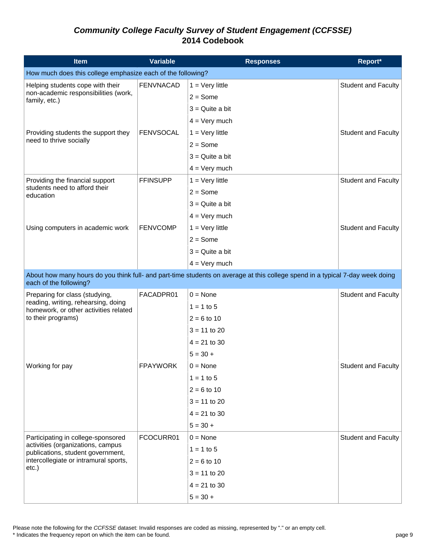| <b>Item</b>                                                                  | <b>Variable</b>  | <b>Responses</b>                                                                                                              | Report*                    |
|------------------------------------------------------------------------------|------------------|-------------------------------------------------------------------------------------------------------------------------------|----------------------------|
| How much does this college emphasize each of the following?                  |                  |                                                                                                                               |                            |
| Helping students cope with their                                             | <b>FENVNACAD</b> | $1 = \text{Very little}$                                                                                                      | <b>Student and Faculty</b> |
| non-academic responsibilities (work,<br>family, etc.)                        |                  | $2 = Some$                                                                                                                    |                            |
|                                                                              |                  | $3 =$ Quite a bit                                                                                                             |                            |
|                                                                              |                  | $4 = \text{Very much}$                                                                                                        |                            |
| Providing students the support they                                          | <b>FENVSOCAL</b> | $1 = \text{Very little}$                                                                                                      | <b>Student and Faculty</b> |
| need to thrive socially                                                      |                  | $2 = Some$                                                                                                                    |                            |
|                                                                              |                  | $3 =$ Quite a bit                                                                                                             |                            |
|                                                                              |                  | $4 = Very much$                                                                                                               |                            |
| Providing the financial support                                              | <b>FFINSUPP</b>  | $1 = \text{Very little}$                                                                                                      | <b>Student and Faculty</b> |
| students need to afford their<br>education                                   |                  | $2 = Some$                                                                                                                    |                            |
|                                                                              |                  | $3 =$ Quite a bit                                                                                                             |                            |
|                                                                              |                  | $4 = \text{Very much}$                                                                                                        |                            |
| Using computers in academic work                                             | <b>FENVCOMP</b>  | $1 = \text{Very little}$                                                                                                      | <b>Student and Faculty</b> |
|                                                                              |                  | $2 = Some$                                                                                                                    |                            |
|                                                                              |                  | $3 =$ Quite a bit                                                                                                             |                            |
|                                                                              |                  | $4 = \text{Very much}$                                                                                                        |                            |
| each of the following?                                                       |                  | About how many hours do you think full- and part-time students on average at this college spend in a typical 7-day week doing |                            |
| Preparing for class (studying,                                               | FACADPR01        | $0 = \text{None}$                                                                                                             | <b>Student and Faculty</b> |
| reading, writing, rehearsing, doing<br>homework, or other activities related |                  | $1 = 1$ to 5                                                                                                                  |                            |
| to their programs)                                                           |                  | $2 = 6$ to 10                                                                                                                 |                            |
|                                                                              |                  | $3 = 11$ to 20                                                                                                                |                            |
|                                                                              |                  | $4 = 21$ to 30                                                                                                                |                            |
|                                                                              |                  | $5 = 30 +$                                                                                                                    |                            |
| Working for pay                                                              | <b>FPAYWORK</b>  | $0 = \text{None}$                                                                                                             | <b>Student and Faculty</b> |
|                                                                              |                  | $1 = 1$ to 5                                                                                                                  |                            |
|                                                                              |                  | $2 = 6$ to 10                                                                                                                 |                            |
|                                                                              |                  | $3 = 11$ to 20                                                                                                                |                            |
|                                                                              |                  | $4 = 21$ to 30                                                                                                                |                            |
|                                                                              |                  | $5 = 30 +$                                                                                                                    |                            |
| Participating in college-sponsored                                           | FCOCURR01        | $0 = \text{None}$                                                                                                             | Student and Faculty        |
| activities (organizations, campus<br>publications, student government,       |                  | $1 = 1$ to 5                                                                                                                  |                            |
| intercollegiate or intramural sports,                                        |                  | $2 = 6$ to 10                                                                                                                 |                            |
| $etc.$ )                                                                     |                  | $3 = 11$ to 20                                                                                                                |                            |
|                                                                              |                  | $4 = 21$ to 30                                                                                                                |                            |
|                                                                              |                  | $5 = 30 +$                                                                                                                    |                            |

Please note the following for the *CCFSSE* dataset: Invalid responses are coded as missing, represented by "." or an empty cell.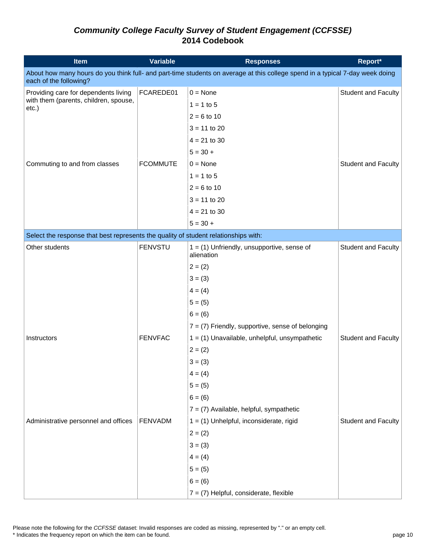| <b>Item</b>                                                                                                                                             | <b>Variable</b> | <b>Responses</b>                                           | Report*                    |  |  |
|---------------------------------------------------------------------------------------------------------------------------------------------------------|-----------------|------------------------------------------------------------|----------------------------|--|--|
| About how many hours do you think full- and part-time students on average at this college spend in a typical 7-day week doing<br>each of the following? |                 |                                                            |                            |  |  |
| Providing care for dependents living                                                                                                                    | FCAREDE01       | $0 = \text{None}$                                          | <b>Student and Faculty</b> |  |  |
| with them (parents, children, spouse,<br>etc.)                                                                                                          |                 | $1 = 1$ to 5                                               |                            |  |  |
|                                                                                                                                                         |                 | $2 = 6$ to 10                                              |                            |  |  |
|                                                                                                                                                         |                 | $3 = 11$ to 20                                             |                            |  |  |
|                                                                                                                                                         |                 | $4 = 21$ to 30                                             |                            |  |  |
|                                                                                                                                                         |                 | $5 = 30 +$                                                 |                            |  |  |
| Commuting to and from classes                                                                                                                           | <b>FCOMMUTE</b> | $0 = \text{None}$                                          | <b>Student and Faculty</b> |  |  |
|                                                                                                                                                         |                 | $1 = 1$ to 5                                               |                            |  |  |
|                                                                                                                                                         |                 | $2 = 6$ to 10                                              |                            |  |  |
|                                                                                                                                                         |                 | $3 = 11$ to 20                                             |                            |  |  |
|                                                                                                                                                         |                 | $4 = 21$ to 30                                             |                            |  |  |
|                                                                                                                                                         |                 | $5 = 30 +$                                                 |                            |  |  |
| Select the response that best represents the quality of student relationships with:                                                                     |                 |                                                            |                            |  |  |
| Other students                                                                                                                                          | <b>FENVSTU</b>  | $1 = (1)$ Unfriendly, unsupportive, sense of<br>alienation | <b>Student and Faculty</b> |  |  |
|                                                                                                                                                         |                 | $2 = (2)$                                                  |                            |  |  |
|                                                                                                                                                         |                 | $3 = (3)$                                                  |                            |  |  |
|                                                                                                                                                         |                 | $4 = (4)$                                                  |                            |  |  |
|                                                                                                                                                         |                 | $5 = (5)$                                                  |                            |  |  |
|                                                                                                                                                         |                 | $6 = (6)$                                                  |                            |  |  |
|                                                                                                                                                         |                 | $7 = (7)$ Friendly, supportive, sense of belonging         |                            |  |  |
| Instructors                                                                                                                                             | <b>FENVFAC</b>  | $1 = (1)$ Unavailable, unhelpful, unsympathetic            | <b>Student and Faculty</b> |  |  |
|                                                                                                                                                         |                 | $2 = (2)$                                                  |                            |  |  |
|                                                                                                                                                         |                 | $3 = (3)$                                                  |                            |  |  |
|                                                                                                                                                         |                 | $4 = (4)$                                                  |                            |  |  |
|                                                                                                                                                         |                 | $5 = (5)$                                                  |                            |  |  |
|                                                                                                                                                         |                 | $6 = (6)$                                                  |                            |  |  |
|                                                                                                                                                         |                 | $7 = (7)$ Available, helpful, sympathetic                  |                            |  |  |
| Administrative personnel and offices                                                                                                                    | FENVADM         | $1 = (1)$ Unhelpful, inconsiderate, rigid                  | <b>Student and Faculty</b> |  |  |
|                                                                                                                                                         |                 | $2 = (2)$                                                  |                            |  |  |
|                                                                                                                                                         |                 | $3 = (3)$                                                  |                            |  |  |
|                                                                                                                                                         |                 | $4 = (4)$                                                  |                            |  |  |
|                                                                                                                                                         |                 | $5 = (5)$                                                  |                            |  |  |
|                                                                                                                                                         |                 | $6 = (6)$                                                  |                            |  |  |
|                                                                                                                                                         |                 | $7 = (7)$ Helpful, considerate, flexible                   |                            |  |  |

Please note the following for the *CCFSSE* dataset: Invalid responses are coded as missing, represented by "." or an empty cell.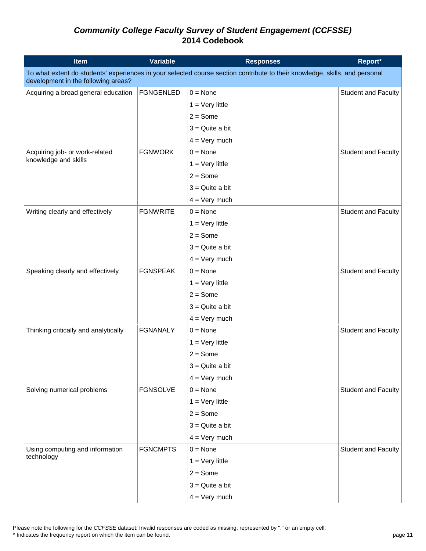| <b>Item</b>                                                                                                                                                        | <b>Variable</b>  | <b>Responses</b>         | Report*                    |  |
|--------------------------------------------------------------------------------------------------------------------------------------------------------------------|------------------|--------------------------|----------------------------|--|
| To what extent do students' experiences in your selected course section contribute to their knowledge, skills, and personal<br>development in the following areas? |                  |                          |                            |  |
| Acquiring a broad general education                                                                                                                                | <b>FGNGENLED</b> | $0 = \text{None}$        | <b>Student and Faculty</b> |  |
|                                                                                                                                                                    |                  | $1 = \text{Very little}$ |                            |  |
|                                                                                                                                                                    |                  | $2 = Some$               |                            |  |
|                                                                                                                                                                    |                  | $3 =$ Quite a bit        |                            |  |
|                                                                                                                                                                    |                  | $4 = \text{Very much}$   |                            |  |
| Acquiring job- or work-related                                                                                                                                     | <b>FGNWORK</b>   | $0 = \text{None}$        | <b>Student and Faculty</b> |  |
| knowledge and skills                                                                                                                                               |                  | $1 = \text{Very little}$ |                            |  |
|                                                                                                                                                                    |                  | $2 = Some$               |                            |  |
|                                                                                                                                                                    |                  | $3 =$ Quite a bit        |                            |  |
|                                                                                                                                                                    |                  | $4 = \text{Very much}$   |                            |  |
| Writing clearly and effectively                                                                                                                                    | <b>FGNWRITE</b>  | $0 = \text{None}$        | <b>Student and Faculty</b> |  |
|                                                                                                                                                                    |                  | $1 = \text{Very little}$ |                            |  |
|                                                                                                                                                                    |                  | $2 = Some$               |                            |  |
|                                                                                                                                                                    |                  | $3 =$ Quite a bit        |                            |  |
|                                                                                                                                                                    |                  | $4 = \text{Very much}$   |                            |  |
| Speaking clearly and effectively                                                                                                                                   | <b>FGNSPEAK</b>  | $0 = \text{None}$        | <b>Student and Faculty</b> |  |
|                                                                                                                                                                    |                  | $1 = \text{Very little}$ |                            |  |
|                                                                                                                                                                    |                  | $2 = Some$               |                            |  |
|                                                                                                                                                                    |                  | $3 =$ Quite a bit        |                            |  |
|                                                                                                                                                                    |                  | $4 = \text{Very much}$   |                            |  |
| Thinking critically and analytically                                                                                                                               | <b>FGNANALY</b>  | $0 = \text{None}$        | <b>Student and Faculty</b> |  |
|                                                                                                                                                                    |                  | $1 = \text{Very little}$ |                            |  |
|                                                                                                                                                                    |                  | $2 = Some$               |                            |  |
|                                                                                                                                                                    |                  | $3 =$ Quite a bit        |                            |  |
|                                                                                                                                                                    |                  | $4 = \text{Very much}$   |                            |  |
| Solving numerical problems                                                                                                                                         | <b>FGNSOLVE</b>  | $0 = \text{None}$        | <b>Student and Faculty</b> |  |
|                                                                                                                                                                    |                  | $1 = Very$ little        |                            |  |
|                                                                                                                                                                    |                  | $2 = Some$               |                            |  |
|                                                                                                                                                                    |                  | $3 =$ Quite a bit        |                            |  |
|                                                                                                                                                                    |                  | $4 = Very much$          |                            |  |
| Using computing and information                                                                                                                                    | <b>FGNCMPTS</b>  | $0 = \text{None}$        | <b>Student and Faculty</b> |  |
| technology                                                                                                                                                         |                  | $1 = \text{Very little}$ |                            |  |
|                                                                                                                                                                    |                  | $2 = Some$               |                            |  |
|                                                                                                                                                                    |                  | $3 =$ Quite a bit        |                            |  |
|                                                                                                                                                                    |                  | $4 = Very much$          |                            |  |

Please note the following for the *CCFSSE* dataset: Invalid responses are coded as missing, represented by "." or an empty cell.

\* Indicates the frequency report on which the item can be found. page 11 and the interval of the item can be found.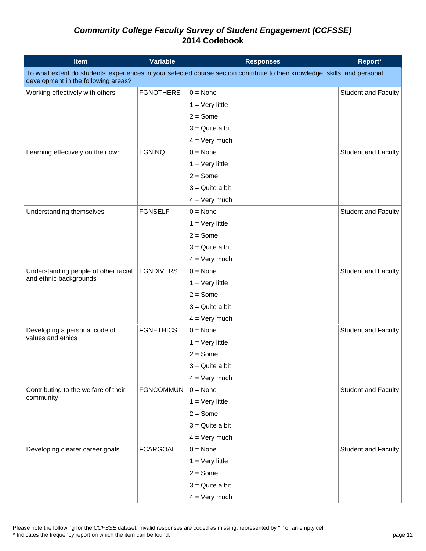| <b>Item</b>                          | <b>Variable</b>                                                                                                             | <b>Responses</b>         | Report*                    |  |  |
|--------------------------------------|-----------------------------------------------------------------------------------------------------------------------------|--------------------------|----------------------------|--|--|
| development in the following areas?  | To what extent do students' experiences in your selected course section contribute to their knowledge, skills, and personal |                          |                            |  |  |
| Working effectively with others      | <b>FGNOTHERS</b>                                                                                                            | $0 = \text{None}$        | <b>Student and Faculty</b> |  |  |
|                                      |                                                                                                                             | $1 = \text{Very little}$ |                            |  |  |
|                                      |                                                                                                                             | $2 = Some$               |                            |  |  |
|                                      |                                                                                                                             | $3 =$ Quite a bit        |                            |  |  |
|                                      |                                                                                                                             | $4 = \text{Very much}$   |                            |  |  |
| Learning effectively on their own    | <b>FGNINQ</b>                                                                                                               | $0 = \text{None}$        | <b>Student and Faculty</b> |  |  |
|                                      |                                                                                                                             | $1 = \text{Very little}$ |                            |  |  |
|                                      |                                                                                                                             | $2 = Some$               |                            |  |  |
|                                      |                                                                                                                             | $3 =$ Quite a bit        |                            |  |  |
|                                      |                                                                                                                             | $4 = \text{Very much}$   |                            |  |  |
| Understanding themselves             | <b>FGNSELF</b>                                                                                                              | $0 = \text{None}$        | <b>Student and Faculty</b> |  |  |
|                                      |                                                                                                                             | $1 = \text{Very little}$ |                            |  |  |
|                                      |                                                                                                                             | $2 = Some$               |                            |  |  |
|                                      |                                                                                                                             | $3 =$ Quite a bit        |                            |  |  |
|                                      |                                                                                                                             | $4 = \text{Very much}$   |                            |  |  |
| Understanding people of other racial | <b>FGNDIVERS</b>                                                                                                            | $0 = \text{None}$        | <b>Student and Faculty</b> |  |  |
| and ethnic backgrounds               |                                                                                                                             | $1 = \text{Very little}$ |                            |  |  |
|                                      |                                                                                                                             | $2 = Some$               |                            |  |  |
|                                      |                                                                                                                             | $3 =$ Quite a bit        |                            |  |  |
|                                      |                                                                                                                             | $4 = \text{Very much}$   |                            |  |  |
| Developing a personal code of        | <b>FGNETHICS</b>                                                                                                            | $0 = \text{None}$        | <b>Student and Faculty</b> |  |  |
| values and ethics                    |                                                                                                                             | $1 = \text{Very little}$ |                            |  |  |
|                                      |                                                                                                                             | $2 = Some$               |                            |  |  |
|                                      |                                                                                                                             | $3 =$ Quite a bit        |                            |  |  |
|                                      |                                                                                                                             | $4 = \text{Very much}$   |                            |  |  |
| Contributing to the welfare of their | <b>FGNCOMMUN</b>                                                                                                            | $0 = \text{None}$        | <b>Student and Faculty</b> |  |  |
| community                            |                                                                                                                             | $1 = Very$ little        |                            |  |  |
|                                      |                                                                                                                             | $2 = Some$               |                            |  |  |
|                                      |                                                                                                                             | $3 =$ Quite a bit        |                            |  |  |
|                                      |                                                                                                                             | $4 = Very much$          |                            |  |  |
| Developing clearer career goals      | <b>FCARGOAL</b>                                                                                                             | $0 = \text{None}$        | <b>Student and Faculty</b> |  |  |
|                                      |                                                                                                                             | $1 = \text{Very little}$ |                            |  |  |
|                                      |                                                                                                                             | $2 = Some$               |                            |  |  |
|                                      |                                                                                                                             | $3 =$ Quite a bit        |                            |  |  |
|                                      |                                                                                                                             | $4 = Very much$          |                            |  |  |

Please note the following for the *CCFSSE* dataset: Invalid responses are coded as missing, represented by "." or an empty cell.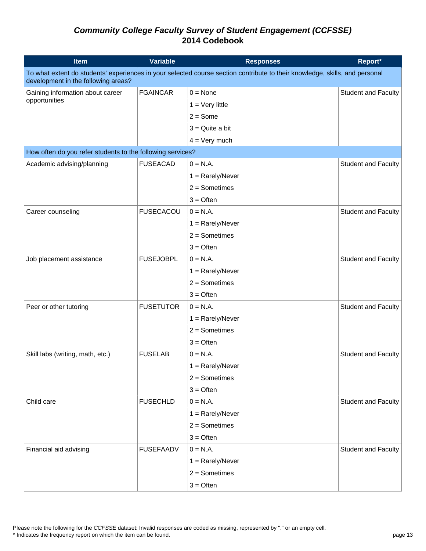| <b>Item</b>                                                | <b>Variable</b>  | <b>Responses</b>                                                                                                            | Report*                    |
|------------------------------------------------------------|------------------|-----------------------------------------------------------------------------------------------------------------------------|----------------------------|
| development in the following areas?                        |                  | To what extent do students' experiences in your selected course section contribute to their knowledge, skills, and personal |                            |
| Gaining information about career                           | <b>FGAINCAR</b>  | $0 = \text{None}$                                                                                                           | <b>Student and Faculty</b> |
| opportunities                                              |                  | $1 = \text{Very little}$                                                                                                    |                            |
|                                                            |                  | $2 = Some$                                                                                                                  |                            |
|                                                            |                  | $3 =$ Quite a bit                                                                                                           |                            |
|                                                            |                  | $4 = \text{Very much}$                                                                                                      |                            |
| How often do you refer students to the following services? |                  |                                                                                                                             |                            |
| Academic advising/planning                                 | <b>FUSEACAD</b>  | $0 = N.A.$                                                                                                                  | <b>Student and Faculty</b> |
|                                                            |                  | $1 =$ Rarely/Never                                                                                                          |                            |
|                                                            |                  | $2 =$ Sometimes                                                                                                             |                            |
|                                                            |                  | $3 =$ Often                                                                                                                 |                            |
| Career counseling                                          | <b>FUSECACOU</b> | $0 = N.A.$                                                                                                                  | <b>Student and Faculty</b> |
|                                                            |                  | $1 =$ Rarely/Never                                                                                                          |                            |
|                                                            |                  | $2 =$ Sometimes                                                                                                             |                            |
|                                                            |                  | $3 =$ Often                                                                                                                 |                            |
| Job placement assistance                                   | <b>FUSEJOBPL</b> | $0 = N.A.$                                                                                                                  | <b>Student and Faculty</b> |
|                                                            |                  | $1 =$ Rarely/Never                                                                                                          |                            |
|                                                            |                  | $2 =$ Sometimes                                                                                                             |                            |
|                                                            |                  | $3 =$ Often                                                                                                                 |                            |
| Peer or other tutoring                                     | <b>FUSETUTOR</b> | $0 = N.A.$                                                                                                                  | <b>Student and Faculty</b> |
|                                                            |                  | $1 =$ Rarely/Never                                                                                                          |                            |
|                                                            |                  | $2 =$ Sometimes                                                                                                             |                            |
|                                                            |                  | $3 =$ Often                                                                                                                 |                            |
| Skill labs (writing, math, etc.)                           | <b>FUSELAB</b>   | $0 = N.A.$                                                                                                                  | <b>Student and Faculty</b> |
|                                                            |                  | $1 =$ Rarely/Never                                                                                                          |                            |
|                                                            |                  | $2 =$ Sometimes                                                                                                             |                            |
|                                                            |                  | $3 =$ Often                                                                                                                 |                            |
| Child care                                                 | <b>FUSECHLD</b>  | $0 = N.A.$                                                                                                                  | <b>Student and Faculty</b> |
|                                                            |                  | $1 =$ Rarely/Never                                                                                                          |                            |
|                                                            |                  | $2 =$ Sometimes                                                                                                             |                            |
|                                                            |                  | $3 =$ Often                                                                                                                 |                            |
| Financial aid advising                                     | <b>FUSEFAADV</b> | $0 = N.A.$                                                                                                                  | <b>Student and Faculty</b> |
|                                                            |                  | $1 =$ Rarely/Never                                                                                                          |                            |
|                                                            |                  | $2 =$ Sometimes                                                                                                             |                            |
|                                                            |                  | $3 =$ Often                                                                                                                 |                            |

Please note the following for the *CCFSSE* dataset: Invalid responses are coded as missing, represented by "." or an empty cell.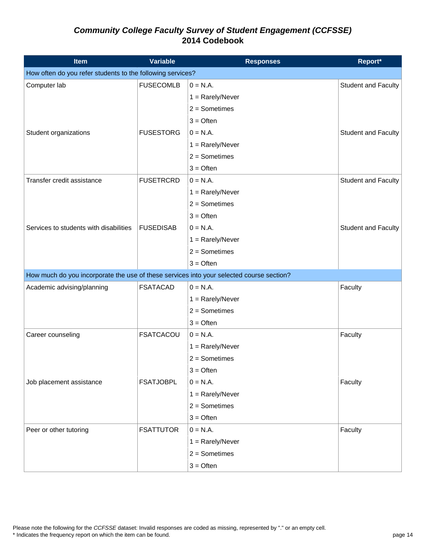| Item                                                                                     | <b>Variable</b>  | <b>Responses</b>   | Report*                    |
|------------------------------------------------------------------------------------------|------------------|--------------------|----------------------------|
| How often do you refer students to the following services?                               |                  |                    |                            |
| Computer lab                                                                             | <b>FUSECOMLB</b> | $0 = N.A.$         | <b>Student and Faculty</b> |
|                                                                                          |                  | $1 =$ Rarely/Never |                            |
|                                                                                          |                  | $2 =$ Sometimes    |                            |
|                                                                                          |                  | $3 =$ Often        |                            |
| Student organizations                                                                    | <b>FUSESTORG</b> | $0 = N.A.$         | Student and Faculty        |
|                                                                                          |                  | $1 =$ Rarely/Never |                            |
|                                                                                          |                  | $2 =$ Sometimes    |                            |
|                                                                                          |                  | $3 =$ Often        |                            |
| Transfer credit assistance                                                               | <b>FUSETRCRD</b> | $0 = N.A.$         | Student and Faculty        |
|                                                                                          |                  | $1 =$ Rarely/Never |                            |
|                                                                                          |                  | $2 =$ Sometimes    |                            |
|                                                                                          |                  | $3 =$ Often        |                            |
| Services to students with disabilities                                                   | <b>FUSEDISAB</b> | $0 = N.A.$         | <b>Student and Faculty</b> |
|                                                                                          |                  | $1 =$ Rarely/Never |                            |
|                                                                                          |                  | $2 =$ Sometimes    |                            |
|                                                                                          |                  | $3 =$ Often        |                            |
| How much do you incorporate the use of these services into your selected course section? |                  |                    |                            |
| Academic advising/planning                                                               | <b>FSATACAD</b>  | $0 = N.A.$         | Faculty                    |
|                                                                                          |                  | $1 =$ Rarely/Never |                            |
|                                                                                          |                  | $2 =$ Sometimes    |                            |
|                                                                                          |                  | $3 =$ Often        |                            |
| Career counseling                                                                        | <b>FSATCACOU</b> | $0 = N.A.$         | Faculty                    |
|                                                                                          |                  | $1 =$ Rarely/Never |                            |
|                                                                                          |                  | $2 =$ Sometimes    |                            |
|                                                                                          |                  | $3 =$ Often        |                            |
| Job placement assistance                                                                 | <b>FSATJOBPL</b> | $0 = N.A.$         | Faculty                    |
|                                                                                          |                  | $1 =$ Rarely/Never |                            |
|                                                                                          |                  | $2 =$ Sometimes    |                            |
|                                                                                          |                  | $3 =$ Often        |                            |
| Peer or other tutoring                                                                   | <b>FSATTUTOR</b> | $0 = N.A.$         | Faculty                    |
|                                                                                          |                  | $1 =$ Rarely/Never |                            |
|                                                                                          |                  | $2 =$ Sometimes    |                            |
|                                                                                          |                  | $3 =$ Often        |                            |

Please note the following for the *CCFSSE* dataset: Invalid responses are coded as missing, represented by "." or an empty cell.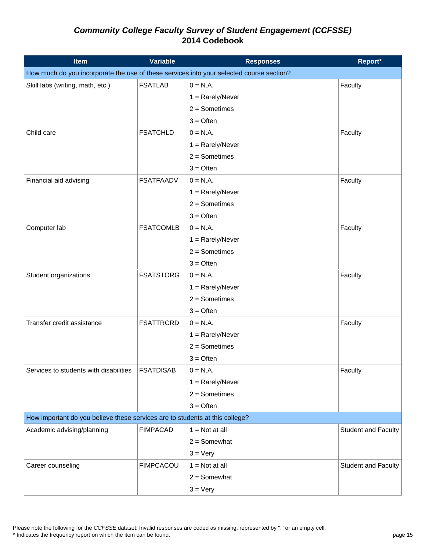| <b>Item</b>                                                                              | <b>Variable</b>  | <b>Responses</b>   | Report*                    |
|------------------------------------------------------------------------------------------|------------------|--------------------|----------------------------|
| How much do you incorporate the use of these services into your selected course section? |                  |                    |                            |
| Skill labs (writing, math, etc.)                                                         | <b>FSATLAB</b>   | $0 = N.A.$         | Faculty                    |
|                                                                                          |                  | $1 =$ Rarely/Never |                            |
|                                                                                          |                  | $2 =$ Sometimes    |                            |
|                                                                                          |                  | $3 =$ Often        |                            |
| Child care                                                                               | <b>FSATCHLD</b>  | $0 = N.A.$         | Faculty                    |
|                                                                                          |                  | $1 =$ Rarely/Never |                            |
|                                                                                          |                  | $2 =$ Sometimes    |                            |
|                                                                                          |                  | $3 =$ Often        |                            |
| Financial aid advising                                                                   | <b>FSATFAADV</b> | $0 = N.A.$         | Faculty                    |
|                                                                                          |                  | $1 =$ Rarely/Never |                            |
|                                                                                          |                  | $2 =$ Sometimes    |                            |
|                                                                                          |                  | $3 =$ Often        |                            |
| Computer lab                                                                             | <b>FSATCOMLB</b> | $0 = N.A.$         | Faculty                    |
|                                                                                          |                  | $1 =$ Rarely/Never |                            |
|                                                                                          |                  | $2 =$ Sometimes    |                            |
|                                                                                          |                  | $3 =$ Often        |                            |
| Student organizations                                                                    | <b>FSATSTORG</b> | $0 = N.A.$         | Faculty                    |
|                                                                                          |                  | $1 =$ Rarely/Never |                            |
|                                                                                          |                  | $2 =$ Sometimes    |                            |
|                                                                                          |                  | $3 =$ Often        |                            |
| Transfer credit assistance                                                               | <b>FSATTRCRD</b> | $0 = N.A.$         | Faculty                    |
|                                                                                          |                  | $1 =$ Rarely/Never |                            |
|                                                                                          |                  | $2 =$ Sometimes    |                            |
|                                                                                          |                  | $3 =$ Often        |                            |
| Services to students with disabilities                                                   | <b>FSATDISAB</b> | $0 = N.A.$         | Faculty                    |
|                                                                                          |                  | $1 =$ Rarely/Never |                            |
|                                                                                          |                  | $2 =$ Sometimes    |                            |
|                                                                                          |                  | $3 =$ Often        |                            |
| How important do you believe these services are to students at this college?             |                  |                    |                            |
| Academic advising/planning                                                               | <b>FIMPACAD</b>  | $1 = Not at all$   | <b>Student and Faculty</b> |
|                                                                                          |                  | $2 =$ Somewhat     |                            |
|                                                                                          |                  | $3 = \text{Very}$  |                            |
| Career counseling                                                                        | <b>FIMPCACOU</b> | $1 = Not at all$   | <b>Student and Faculty</b> |
|                                                                                          |                  | $2 =$ Somewhat     |                            |
|                                                                                          |                  | $3 = \text{Very}$  |                            |

Please note the following for the *CCFSSE* dataset: Invalid responses are coded as missing, represented by "." or an empty cell.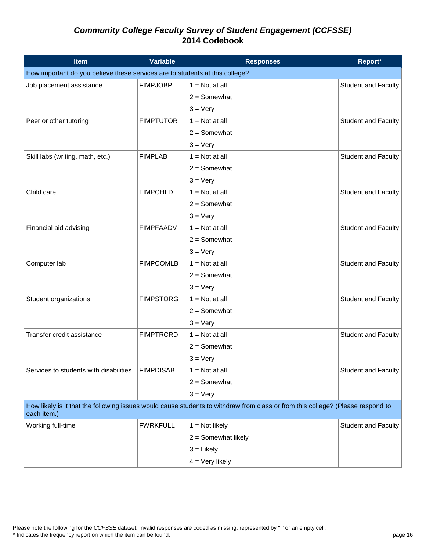| Item                                                                         | <b>Variable</b>  | <b>Responses</b>                                                                                                                | Report*                    |
|------------------------------------------------------------------------------|------------------|---------------------------------------------------------------------------------------------------------------------------------|----------------------------|
| How important do you believe these services are to students at this college? |                  |                                                                                                                                 |                            |
| Job placement assistance                                                     | <b>FIMPJOBPL</b> | $1 = Not at all$                                                                                                                | Student and Faculty        |
|                                                                              |                  | $2 =$ Somewhat                                                                                                                  |                            |
|                                                                              |                  | $3 = \text{Very}$                                                                                                               |                            |
| Peer or other tutoring                                                       | <b>FIMPTUTOR</b> | $1 = Not at all$                                                                                                                | Student and Faculty        |
|                                                                              |                  | $2 =$ Somewhat                                                                                                                  |                            |
|                                                                              |                  | $3 = \text{Very}$                                                                                                               |                            |
| Skill labs (writing, math, etc.)                                             | <b>FIMPLAB</b>   | $1 = Not at all$                                                                                                                | Student and Faculty        |
|                                                                              |                  | $2 =$ Somewhat                                                                                                                  |                            |
|                                                                              |                  | $3 = \text{Very}$                                                                                                               |                            |
| Child care                                                                   | <b>FIMPCHLD</b>  | $1 = Not at all$                                                                                                                | <b>Student and Faculty</b> |
|                                                                              |                  | $2 =$ Somewhat                                                                                                                  |                            |
|                                                                              |                  | $3 = \text{Very}$                                                                                                               |                            |
| Financial aid advising                                                       | <b>FIMPFAADV</b> | $1 = Not at all$                                                                                                                | <b>Student and Faculty</b> |
|                                                                              |                  | $2 =$ Somewhat                                                                                                                  |                            |
|                                                                              |                  | $3 = \text{Very}$                                                                                                               |                            |
| Computer lab                                                                 | <b>FIMPCOMLB</b> | $1 = Not at all$                                                                                                                | Student and Faculty        |
|                                                                              |                  | $2 =$ Somewhat                                                                                                                  |                            |
|                                                                              |                  | $3 = \text{Very}$                                                                                                               |                            |
| Student organizations                                                        | <b>FIMPSTORG</b> | $1 = Not at all$                                                                                                                | <b>Student and Faculty</b> |
|                                                                              |                  | $2 =$ Somewhat                                                                                                                  |                            |
|                                                                              |                  | $3 = \text{Very}$                                                                                                               |                            |
| Transfer credit assistance                                                   | <b>FIMPTRCRD</b> | $1 = Not at all$                                                                                                                | <b>Student and Faculty</b> |
|                                                                              |                  | $2 =$ Somewhat                                                                                                                  |                            |
|                                                                              |                  | $3 = \text{Very}$                                                                                                               |                            |
| Services to students with disabilities                                       | <b>FIMPDISAB</b> | $1 = Not at all$                                                                                                                | Student and Faculty        |
|                                                                              |                  | $2 =$ Somewhat                                                                                                                  |                            |
|                                                                              |                  | $3 = \text{Very}$                                                                                                               |                            |
| each item.)                                                                  |                  | How likely is it that the following issues would cause students to withdraw from class or from this college? (Please respond to |                            |
| Working full-time                                                            | <b>FWRKFULL</b>  | $1 = Not likely$                                                                                                                | Student and Faculty        |
|                                                                              |                  | $2 =$ Somewhat likely                                                                                                           |                            |
|                                                                              |                  | $3 =$ Likely                                                                                                                    |                            |
|                                                                              |                  | $4 = Very$ likely                                                                                                               |                            |

Please note the following for the *CCFSSE* dataset: Invalid responses are coded as missing, represented by "." or an empty cell.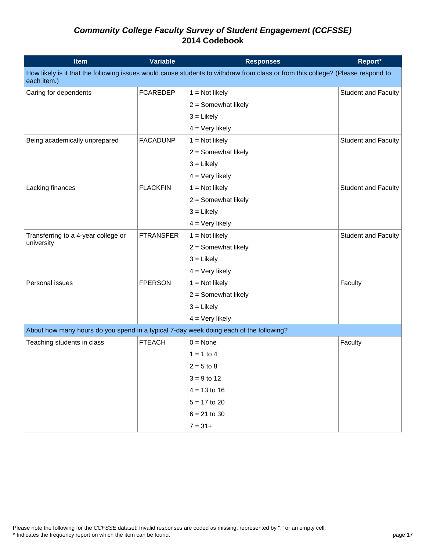| <b>Item</b>                                                                            | <b>Variable</b>  | <b>Responses</b>                                                                                                                | Report*                    |
|----------------------------------------------------------------------------------------|------------------|---------------------------------------------------------------------------------------------------------------------------------|----------------------------|
| each item.)                                                                            |                  | How likely is it that the following issues would cause students to withdraw from class or from this college? (Please respond to |                            |
| Caring for dependents                                                                  | <b>FCAREDEP</b>  | $1 = Not likely$                                                                                                                | Student and Faculty        |
|                                                                                        |                  | $2 =$ Somewhat likely                                                                                                           |                            |
|                                                                                        |                  | $3 =$ Likely                                                                                                                    |                            |
|                                                                                        |                  | $4 = \text{Very likely}$                                                                                                        |                            |
| Being academically unprepared                                                          | <b>FACADUNP</b>  | $1 = Not likely$                                                                                                                | Student and Faculty        |
|                                                                                        |                  | $2 =$ Somewhat likely                                                                                                           |                            |
|                                                                                        |                  | $3 =$ Likely                                                                                                                    |                            |
|                                                                                        |                  | $4 = Very$ likely                                                                                                               |                            |
| Lacking finances                                                                       | <b>FLACKFIN</b>  | $1 = Not likely$                                                                                                                | Student and Faculty        |
|                                                                                        |                  | $2 =$ Somewhat likely                                                                                                           |                            |
|                                                                                        |                  | $3 =$ Likely                                                                                                                    |                            |
|                                                                                        |                  | $4 = Very$ likely                                                                                                               |                            |
| Transferring to a 4-year college or                                                    | <b>FTRANSFER</b> | $1 = Not likely$                                                                                                                | <b>Student and Faculty</b> |
| university                                                                             |                  | $2 =$ Somewhat likely                                                                                                           |                            |
|                                                                                        |                  | $3 =$ Likely                                                                                                                    |                            |
|                                                                                        |                  | $4 = Very$ likely                                                                                                               |                            |
| Personal issues                                                                        | <b>FPERSON</b>   | $1 = Not likely$                                                                                                                | Faculty                    |
|                                                                                        |                  | $2 =$ Somewhat likely                                                                                                           |                            |
|                                                                                        |                  | $3 =$ Likely                                                                                                                    |                            |
|                                                                                        |                  | $4 = Very$ likely                                                                                                               |                            |
| About how many hours do you spend in a typical 7-day week doing each of the following? |                  |                                                                                                                                 |                            |
| Teaching students in class                                                             | <b>FTEACH</b>    | $0 = \text{None}$                                                                                                               | Faculty                    |
|                                                                                        |                  | $1 = 1$ to 4                                                                                                                    |                            |
|                                                                                        |                  | $2 = 5$ to 8                                                                                                                    |                            |
|                                                                                        |                  | $3 = 9$ to 12                                                                                                                   |                            |
|                                                                                        |                  | $4 = 13$ to 16                                                                                                                  |                            |
|                                                                                        |                  | $5 = 17$ to 20                                                                                                                  |                            |
|                                                                                        |                  | $6 = 21$ to 30                                                                                                                  |                            |
|                                                                                        |                  | $7 = 31+$                                                                                                                       |                            |

Please note the following for the *CCFSSE* dataset: Invalid responses are coded as missing, represented by "." or an empty cell.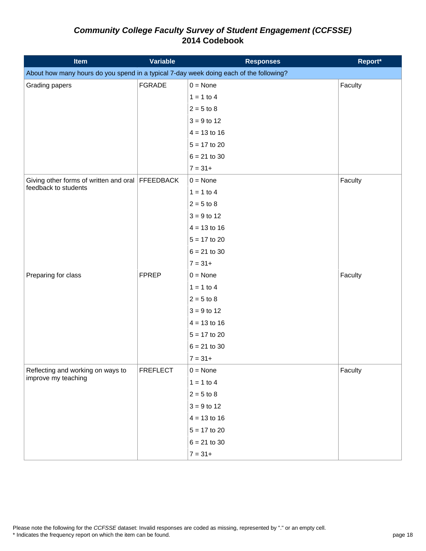| <b>Item</b>                                                                            | <b>Variable</b> | <b>Responses</b>  | Report* |
|----------------------------------------------------------------------------------------|-----------------|-------------------|---------|
| About how many hours do you spend in a typical 7-day week doing each of the following? |                 |                   |         |
| Grading papers                                                                         | <b>FGRADE</b>   | $0 = \text{None}$ | Faculty |
|                                                                                        |                 | $1 = 1$ to 4      |         |
|                                                                                        |                 | $2 = 5$ to 8      |         |
|                                                                                        |                 | $3 = 9$ to 12     |         |
|                                                                                        |                 | $4 = 13$ to 16    |         |
|                                                                                        |                 | $5 = 17$ to 20    |         |
|                                                                                        |                 | $6 = 21$ to 30    |         |
|                                                                                        |                 | $7 = 31+$         |         |
| Giving other forms of written and oral FFEEDBACK                                       |                 | $0 = \text{None}$ | Faculty |
| feedback to students                                                                   |                 | $1 = 1$ to 4      |         |
|                                                                                        |                 | $2 = 5$ to 8      |         |
|                                                                                        |                 | $3 = 9$ to 12     |         |
|                                                                                        |                 | $4 = 13$ to 16    |         |
|                                                                                        |                 | $5 = 17$ to 20    |         |
|                                                                                        |                 | $6 = 21$ to 30    |         |
|                                                                                        |                 | $7 = 31+$         |         |
| Preparing for class                                                                    | <b>FPREP</b>    | $0 = \text{None}$ | Faculty |
|                                                                                        |                 | $1 = 1$ to 4      |         |
|                                                                                        |                 | $2 = 5$ to 8      |         |
|                                                                                        |                 | $3 = 9$ to 12     |         |
|                                                                                        |                 | $4 = 13$ to 16    |         |
|                                                                                        |                 | $5 = 17$ to 20    |         |
|                                                                                        |                 | $6 = 21$ to 30    |         |
|                                                                                        |                 | $7 = 31+$         |         |
| Reflecting and working on ways to                                                      | <b>FREFLECT</b> | $0 = \text{None}$ | Faculty |
| improve my teaching                                                                    |                 | $1 = 1$ to 4      |         |
|                                                                                        |                 | $2 = 5$ to 8      |         |
|                                                                                        |                 | $3 = 9$ to 12     |         |
|                                                                                        |                 | $4 = 13$ to 16    |         |
|                                                                                        |                 | $5 = 17$ to 20    |         |
|                                                                                        |                 | $6 = 21$ to 30    |         |
|                                                                                        |                 | $7 = 31+$         |         |

Please note the following for the *CCFSSE* dataset: Invalid responses are coded as missing, represented by "." or an empty cell.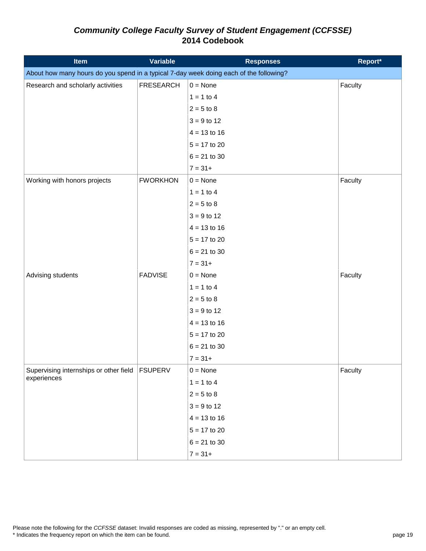| <b>Item</b>                                                                            | Variable         | <b>Responses</b>  | Report* |
|----------------------------------------------------------------------------------------|------------------|-------------------|---------|
| About how many hours do you spend in a typical 7-day week doing each of the following? |                  |                   |         |
| Research and scholarly activities                                                      | <b>FRESEARCH</b> | $0 = \text{None}$ | Faculty |
|                                                                                        |                  | $1 = 1$ to 4      |         |
|                                                                                        |                  | $2 = 5$ to 8      |         |
|                                                                                        |                  | $3 = 9$ to 12     |         |
|                                                                                        |                  | $4 = 13$ to 16    |         |
|                                                                                        |                  | $5 = 17$ to 20    |         |
|                                                                                        |                  | $6 = 21$ to 30    |         |
|                                                                                        |                  | $7 = 31+$         |         |
| Working with honors projects                                                           | <b>FWORKHON</b>  | $0 = \text{None}$ | Faculty |
|                                                                                        |                  | $1 = 1$ to 4      |         |
|                                                                                        |                  | $2 = 5$ to 8      |         |
|                                                                                        |                  | $3 = 9$ to 12     |         |
|                                                                                        |                  | $4 = 13$ to 16    |         |
|                                                                                        |                  | $5 = 17$ to 20    |         |
|                                                                                        |                  | $6 = 21$ to 30    |         |
|                                                                                        |                  | $7 = 31 +$        |         |
| Advising students                                                                      | <b>FADVISE</b>   | $0 = \text{None}$ | Faculty |
|                                                                                        |                  | $1 = 1$ to 4      |         |
|                                                                                        |                  | $2 = 5$ to 8      |         |
|                                                                                        |                  | $3 = 9$ to 12     |         |
|                                                                                        |                  | $4 = 13$ to 16    |         |
|                                                                                        |                  | $5 = 17$ to 20    |         |
|                                                                                        |                  | $6 = 21$ to 30    |         |
|                                                                                        |                  | $7 = 31 +$        |         |
| Supervising internships or other field   FSUPERV                                       |                  | $0 = \text{None}$ | Faculty |
| experiences                                                                            |                  | $1 = 1$ to 4      |         |
|                                                                                        |                  | $2 = 5$ to 8      |         |
|                                                                                        |                  | $3 = 9$ to 12     |         |
|                                                                                        |                  | $4 = 13$ to 16    |         |
|                                                                                        |                  | $5 = 17$ to 20    |         |
|                                                                                        |                  | $6 = 21$ to 30    |         |
|                                                                                        |                  | $7 = 31+$         |         |

Please note the following for the *CCFSSE* dataset: Invalid responses are coded as missing, represented by "." or an empty cell.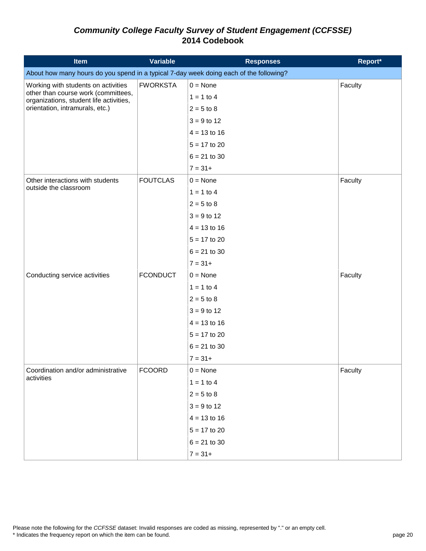| <b>Item</b>                                                                            | <b>Variable</b> | <b>Responses</b>  | Report* |
|----------------------------------------------------------------------------------------|-----------------|-------------------|---------|
| About how many hours do you spend in a typical 7-day week doing each of the following? |                 |                   |         |
| Working with students on activities                                                    | <b>FWORKSTA</b> | $0 = \text{None}$ | Faculty |
| other than course work (committees,<br>organizations, student life activities,         |                 | $1 = 1$ to 4      |         |
| orientation, intramurals, etc.)                                                        |                 | $2 = 5$ to 8      |         |
|                                                                                        |                 | $3 = 9$ to 12     |         |
|                                                                                        |                 | $4 = 13$ to 16    |         |
|                                                                                        |                 | $5 = 17$ to 20    |         |
|                                                                                        |                 | $6 = 21$ to 30    |         |
|                                                                                        |                 | $7 = 31+$         |         |
| Other interactions with students                                                       | <b>FOUTCLAS</b> | $0 = \text{None}$ | Faculty |
| outside the classroom                                                                  |                 | $1 = 1$ to 4      |         |
|                                                                                        |                 | $2 = 5$ to 8      |         |
|                                                                                        |                 | $3 = 9$ to 12     |         |
|                                                                                        |                 | $4 = 13$ to 16    |         |
|                                                                                        |                 | $5 = 17$ to 20    |         |
|                                                                                        |                 | $6 = 21$ to 30    |         |
|                                                                                        |                 | $7 = 31+$         |         |
| Conducting service activities                                                          | <b>FCONDUCT</b> | $0 = \text{None}$ | Faculty |
|                                                                                        |                 | $1 = 1$ to 4      |         |
|                                                                                        |                 | $2 = 5$ to 8      |         |
|                                                                                        |                 | $3 = 9$ to 12     |         |
|                                                                                        |                 | $4 = 13$ to 16    |         |
|                                                                                        |                 | $5 = 17$ to 20    |         |
|                                                                                        |                 | $6 = 21$ to 30    |         |
|                                                                                        |                 | $7 = 31+$         |         |
| Coordination and/or administrative                                                     | <b>FCOORD</b>   | $0 = \text{None}$ | Faculty |
| activities                                                                             |                 | $1 = 1$ to 4      |         |
|                                                                                        |                 | $2 = 5$ to 8      |         |
|                                                                                        |                 | $3 = 9$ to 12     |         |
|                                                                                        |                 | $4 = 13$ to 16    |         |
|                                                                                        |                 | $5 = 17$ to 20    |         |
|                                                                                        |                 | $6 = 21$ to 30    |         |
|                                                                                        |                 | $7 = 31+$         |         |

Please note the following for the *CCFSSE* dataset: Invalid responses are coded as missing, represented by "." or an empty cell.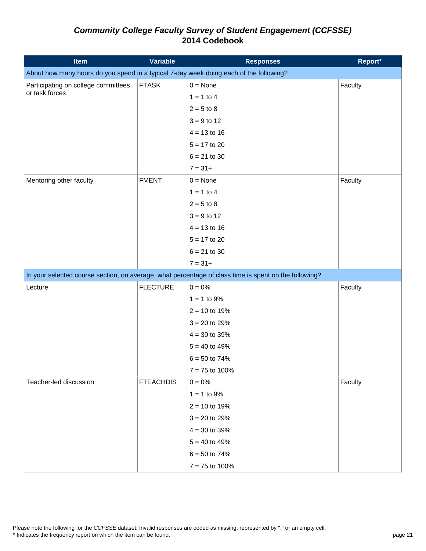| <b>Item</b>                                                                            | <b>Variable</b>  | <b>Responses</b>                                                                                      | Report* |
|----------------------------------------------------------------------------------------|------------------|-------------------------------------------------------------------------------------------------------|---------|
| About how many hours do you spend in a typical 7-day week doing each of the following? |                  |                                                                                                       |         |
| Participating on college committees                                                    | <b>FTASK</b>     | $0 = \text{None}$                                                                                     | Faculty |
| or task forces                                                                         |                  | $1 = 1$ to 4                                                                                          |         |
|                                                                                        |                  | $2 = 5$ to 8                                                                                          |         |
|                                                                                        |                  | $3 = 9$ to 12                                                                                         |         |
|                                                                                        |                  | $4 = 13$ to 16                                                                                        |         |
|                                                                                        |                  | $5 = 17$ to 20                                                                                        |         |
|                                                                                        |                  | $6 = 21$ to 30                                                                                        |         |
|                                                                                        |                  | $7 = 31+$                                                                                             |         |
| Mentoring other faculty                                                                | <b>FMENT</b>     | $0 = \text{None}$                                                                                     | Faculty |
|                                                                                        |                  | $1 = 1$ to 4                                                                                          |         |
|                                                                                        |                  | $2 = 5$ to 8                                                                                          |         |
|                                                                                        |                  | $3 = 9$ to 12                                                                                         |         |
|                                                                                        |                  | $4 = 13$ to 16                                                                                        |         |
|                                                                                        |                  | $5 = 17$ to 20                                                                                        |         |
|                                                                                        |                  | $6 = 21$ to 30                                                                                        |         |
|                                                                                        |                  | $7 = 31+$                                                                                             |         |
|                                                                                        |                  | In your selected course section, on average, what percentage of class time is spent on the following? |         |
| Lecture                                                                                | <b>FLECTURE</b>  | $0 = 0\%$                                                                                             | Faculty |
|                                                                                        |                  | $1 = 1$ to 9%                                                                                         |         |
|                                                                                        |                  | $2 = 10$ to 19%                                                                                       |         |
|                                                                                        |                  | $3 = 20$ to 29%                                                                                       |         |
|                                                                                        |                  | $4 = 30$ to 39%                                                                                       |         |
|                                                                                        |                  | $5 = 40$ to 49%                                                                                       |         |
|                                                                                        |                  | $6 = 50$ to 74%                                                                                       |         |
|                                                                                        |                  | $7 = 75$ to 100%                                                                                      |         |
| Teacher-led discussion                                                                 | <b>FTEACHDIS</b> | $0 = 0\%$                                                                                             | Faculty |
|                                                                                        |                  | $1 = 1$ to 9%                                                                                         |         |
|                                                                                        |                  | $2 = 10$ to 19%                                                                                       |         |
|                                                                                        |                  | $3 = 20$ to 29%                                                                                       |         |
|                                                                                        |                  | $4 = 30$ to 39%                                                                                       |         |
|                                                                                        |                  | $5 = 40$ to 49%                                                                                       |         |
|                                                                                        |                  | $6 = 50$ to 74%                                                                                       |         |
|                                                                                        |                  | $7 = 75$ to 100%                                                                                      |         |

Please note the following for the *CCFSSE* dataset: Invalid responses are coded as missing, represented by "." or an empty cell.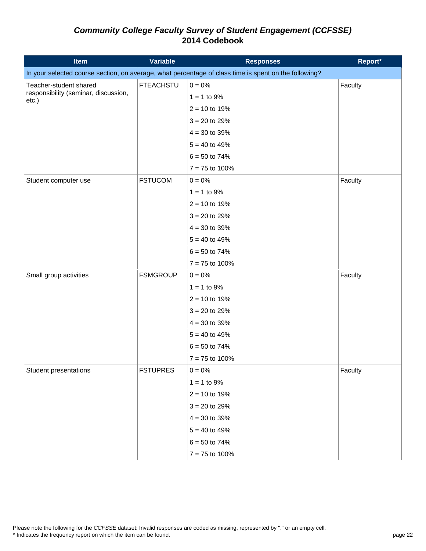| <b>Item</b>                                   | <b>Variable</b>  | <b>Responses</b>                                                                                      | Report* |
|-----------------------------------------------|------------------|-------------------------------------------------------------------------------------------------------|---------|
|                                               |                  | In your selected course section, on average, what percentage of class time is spent on the following? |         |
| Teacher-student shared                        | <b>FTEACHSTU</b> | $0 = 0\%$                                                                                             | Faculty |
| responsibility (seminar, discussion,<br>etc.) |                  | $1 = 1$ to 9%                                                                                         |         |
|                                               |                  | $2 = 10$ to 19%                                                                                       |         |
|                                               |                  | $3 = 20$ to 29%                                                                                       |         |
|                                               |                  | $4 = 30$ to 39%                                                                                       |         |
|                                               |                  | $5 = 40$ to 49%                                                                                       |         |
|                                               |                  | $6 = 50$ to 74%                                                                                       |         |
|                                               |                  | $7 = 75$ to 100%                                                                                      |         |
| Student computer use                          | <b>FSTUCOM</b>   | $0 = 0\%$                                                                                             | Faculty |
|                                               |                  | $1 = 1$ to 9%                                                                                         |         |
|                                               |                  | $2 = 10$ to 19%                                                                                       |         |
|                                               |                  | $3 = 20$ to 29%                                                                                       |         |
|                                               |                  | $4 = 30$ to 39%                                                                                       |         |
|                                               |                  | $5 = 40$ to 49%                                                                                       |         |
|                                               |                  | $6 = 50$ to 74%                                                                                       |         |
|                                               |                  | $7 = 75$ to 100%                                                                                      |         |
| Small group activities                        | <b>FSMGROUP</b>  | $0 = 0\%$                                                                                             | Faculty |
|                                               |                  | $1 = 1$ to 9%                                                                                         |         |
|                                               |                  | $2 = 10$ to 19%                                                                                       |         |
|                                               |                  | $3 = 20$ to 29%                                                                                       |         |
|                                               |                  | $4 = 30$ to 39%                                                                                       |         |
|                                               |                  | $5 = 40$ to 49%                                                                                       |         |
|                                               |                  | $6 = 50$ to 74%                                                                                       |         |
|                                               |                  | $7 = 75$ to 100%                                                                                      |         |
| Student presentations                         | <b>FSTUPRES</b>  | $0 = 0\%$                                                                                             | Faculty |
|                                               |                  | $1 = 1$ to 9%                                                                                         |         |
|                                               |                  | $2 = 10$ to 19%                                                                                       |         |
|                                               |                  | $3 = 20$ to 29%                                                                                       |         |
|                                               |                  | $4 = 30$ to 39%                                                                                       |         |
|                                               |                  | $5 = 40$ to 49%                                                                                       |         |
|                                               |                  | $6 = 50$ to 74%                                                                                       |         |
|                                               |                  | $7 = 75$ to 100%                                                                                      |         |

Please note the following for the *CCFSSE* dataset: Invalid responses are coded as missing, represented by "." or an empty cell.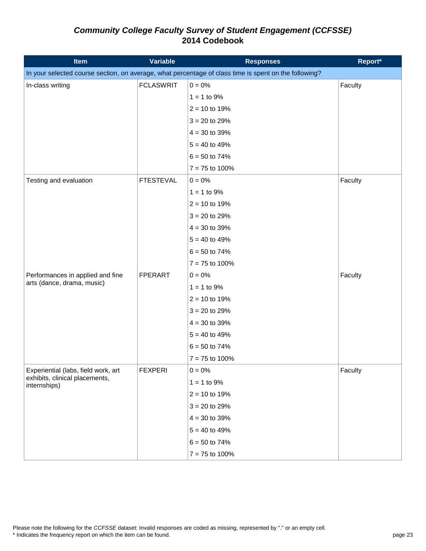| <b>Item</b>                                    | <b>Variable</b>  | <b>Responses</b>                                                                                      | Report* |
|------------------------------------------------|------------------|-------------------------------------------------------------------------------------------------------|---------|
|                                                |                  | In your selected course section, on average, what percentage of class time is spent on the following? |         |
| In-class writing                               | <b>FCLASWRIT</b> | $0 = 0\%$                                                                                             | Faculty |
|                                                |                  | $1 = 1$ to 9%                                                                                         |         |
|                                                |                  | $2 = 10$ to 19%                                                                                       |         |
|                                                |                  | $3 = 20$ to 29%                                                                                       |         |
|                                                |                  | $4 = 30$ to 39%                                                                                       |         |
|                                                |                  | $5 = 40$ to 49%                                                                                       |         |
|                                                |                  | $6 = 50$ to 74%                                                                                       |         |
|                                                |                  | $7 = 75$ to 100%                                                                                      |         |
| Testing and evaluation                         | <b>FTESTEVAL</b> | $0 = 0\%$                                                                                             | Faculty |
|                                                |                  | $1 = 1$ to 9%                                                                                         |         |
|                                                |                  | $2 = 10$ to 19%                                                                                       |         |
|                                                |                  | $3 = 20$ to 29%                                                                                       |         |
|                                                |                  | $4 = 30$ to 39%                                                                                       |         |
|                                                |                  | $5 = 40$ to 49%                                                                                       |         |
|                                                |                  | $6 = 50$ to 74%                                                                                       |         |
|                                                |                  | $7 = 75$ to 100%                                                                                      |         |
| Performances in applied and fine               | <b>FPERART</b>   | $0 = 0\%$                                                                                             | Faculty |
| arts (dance, drama, music)                     |                  | $1 = 1$ to 9%                                                                                         |         |
|                                                |                  | $2 = 10$ to 19%                                                                                       |         |
|                                                |                  | $3 = 20$ to 29%                                                                                       |         |
|                                                |                  | $4 = 30$ to 39%                                                                                       |         |
|                                                |                  | $5 = 40$ to 49%                                                                                       |         |
|                                                |                  | $6 = 50$ to 74%                                                                                       |         |
|                                                |                  | $7 = 75$ to 100%                                                                                      |         |
| Experiential (labs, field work, art            | <b>FEXPERI</b>   | $0 = 0\%$                                                                                             | Faculty |
| exhibits, clinical placements,<br>internships) |                  | $1 = 1$ to 9%                                                                                         |         |
|                                                |                  | $2 = 10$ to 19%                                                                                       |         |
|                                                |                  | $3 = 20$ to 29%                                                                                       |         |
|                                                |                  | $4 = 30$ to 39%                                                                                       |         |
|                                                |                  | $5 = 40$ to 49%                                                                                       |         |
|                                                |                  | $6 = 50$ to 74%                                                                                       |         |
|                                                |                  | $7 = 75$ to 100%                                                                                      |         |

Please note the following for the *CCFSSE* dataset: Invalid responses are coded as missing, represented by "." or an empty cell.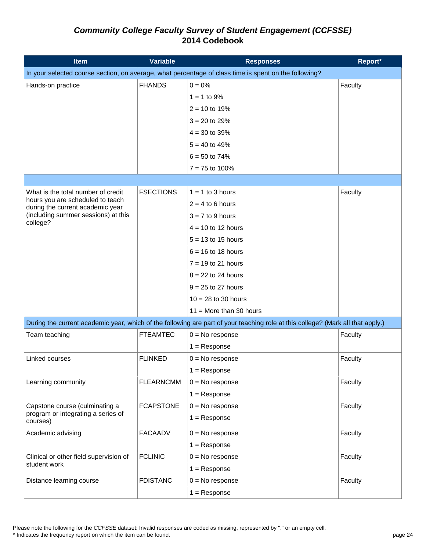| <b>Item</b>                                                          | <b>Variable</b>  | <b>Responses</b>                                                                                                                | Report* |
|----------------------------------------------------------------------|------------------|---------------------------------------------------------------------------------------------------------------------------------|---------|
|                                                                      |                  | In your selected course section, on average, what percentage of class time is spent on the following?                           |         |
| Hands-on practice                                                    | <b>FHANDS</b>    | $0 = 0\%$                                                                                                                       | Faculty |
|                                                                      |                  | $1 = 1$ to 9%                                                                                                                   |         |
|                                                                      |                  | $2 = 10$ to 19%                                                                                                                 |         |
|                                                                      |                  | $3 = 20$ to 29%                                                                                                                 |         |
|                                                                      |                  | $4 = 30$ to 39%                                                                                                                 |         |
|                                                                      |                  | $5 = 40$ to 49%                                                                                                                 |         |
|                                                                      |                  | $6 = 50$ to 74%                                                                                                                 |         |
|                                                                      |                  | $7 = 75$ to 100%                                                                                                                |         |
|                                                                      |                  |                                                                                                                                 |         |
| What is the total number of credit                                   | <b>FSECTIONS</b> | $1 = 1$ to 3 hours                                                                                                              | Faculty |
| hours you are scheduled to teach<br>during the current academic year |                  | $2 = 4$ to 6 hours                                                                                                              |         |
| (including summer sessions) at this                                  |                  | $3 = 7$ to 9 hours                                                                                                              |         |
| college?                                                             |                  | $4 = 10$ to 12 hours                                                                                                            |         |
|                                                                      |                  | $5 = 13$ to 15 hours                                                                                                            |         |
|                                                                      |                  | $6 = 16$ to 18 hours                                                                                                            |         |
|                                                                      |                  | $7 = 19$ to 21 hours                                                                                                            |         |
|                                                                      |                  | $8 = 22$ to 24 hours                                                                                                            |         |
|                                                                      |                  | $9 = 25$ to 27 hours                                                                                                            |         |
|                                                                      |                  | $10 = 28$ to 30 hours                                                                                                           |         |
|                                                                      |                  | $11 =$ More than 30 hours                                                                                                       |         |
|                                                                      |                  | During the current academic year, which of the following are part of your teaching role at this college? (Mark all that apply.) |         |
| Team teaching                                                        | <b>FTEAMTEC</b>  | $0 = No$ response                                                                                                               | Faculty |
|                                                                      |                  | $1 =$ Response                                                                                                                  |         |
| Linked courses                                                       | <b>FLINKED</b>   | $0 = No$ response                                                                                                               | Faculty |
|                                                                      |                  | $1 =$ Response                                                                                                                  |         |
| Learning community                                                   | <b>FLEARNCMM</b> | $0 = No$ response                                                                                                               | Faculty |
|                                                                      |                  | $1 =$ Response                                                                                                                  |         |
| Capstone course (culminating a                                       | <b>FCAPSTONE</b> | $0 = No$ response                                                                                                               | Faculty |
| program or integrating a series of<br>courses)                       |                  | $1 =$ Response                                                                                                                  |         |
| Academic advising                                                    | <b>FACAADV</b>   | $0 = No$ response                                                                                                               | Faculty |
|                                                                      |                  | $1 =$ Response                                                                                                                  |         |
| Clinical or other field supervision of                               | <b>FCLINIC</b>   | $0 = No$ response                                                                                                               | Faculty |
| student work                                                         |                  | $1 =$ Response                                                                                                                  |         |
| Distance learning course                                             | <b>FDISTANC</b>  | $0 = No$ response                                                                                                               | Faculty |
|                                                                      |                  | $1 =$ Response                                                                                                                  |         |

Please note the following for the *CCFSSE* dataset: Invalid responses are coded as missing, represented by "." or an empty cell.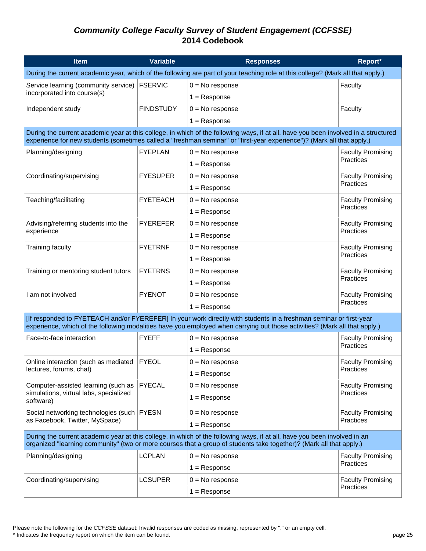| <b>Item</b>                                                                                                                                                                                                                                      | <b>Variable</b>                                                                                                                 | <b>Responses</b>                                                                                                                                                                                                                                              | Report*                  |  |  |
|--------------------------------------------------------------------------------------------------------------------------------------------------------------------------------------------------------------------------------------------------|---------------------------------------------------------------------------------------------------------------------------------|---------------------------------------------------------------------------------------------------------------------------------------------------------------------------------------------------------------------------------------------------------------|--------------------------|--|--|
|                                                                                                                                                                                                                                                  | During the current academic year, which of the following are part of your teaching role at this college? (Mark all that apply.) |                                                                                                                                                                                                                                                               |                          |  |  |
| Service learning (community service)   FSERVIC                                                                                                                                                                                                   |                                                                                                                                 | $0 = No$ response                                                                                                                                                                                                                                             | Faculty                  |  |  |
| incorporated into course(s)                                                                                                                                                                                                                      |                                                                                                                                 | $1 =$ Response                                                                                                                                                                                                                                                |                          |  |  |
| Independent study                                                                                                                                                                                                                                | <b>FINDSTUDY</b>                                                                                                                | $0 = No$ response                                                                                                                                                                                                                                             | Faculty                  |  |  |
|                                                                                                                                                                                                                                                  |                                                                                                                                 | $1 =$ Response                                                                                                                                                                                                                                                |                          |  |  |
|                                                                                                                                                                                                                                                  |                                                                                                                                 | During the current academic year at this college, in which of the following ways, if at all, have you been involved in a structured<br>experience for new students (sometimes called a "freshman seminar" or "first-year experience")? (Mark all that apply.) |                          |  |  |
| Planning/designing                                                                                                                                                                                                                               | <b>FYEPLAN</b>                                                                                                                  | $0 = No$ response                                                                                                                                                                                                                                             | <b>Faculty Promising</b> |  |  |
|                                                                                                                                                                                                                                                  |                                                                                                                                 | $1 =$ Response                                                                                                                                                                                                                                                | Practices                |  |  |
| Coordinating/supervising                                                                                                                                                                                                                         | <b>FYESUPER</b>                                                                                                                 | $0 = No$ response                                                                                                                                                                                                                                             | <b>Faculty Promising</b> |  |  |
|                                                                                                                                                                                                                                                  |                                                                                                                                 | $1 =$ Response                                                                                                                                                                                                                                                | Practices                |  |  |
| Teaching/facilitating                                                                                                                                                                                                                            | <b>FYETEACH</b>                                                                                                                 | $0 = No$ response                                                                                                                                                                                                                                             | <b>Faculty Promising</b> |  |  |
|                                                                                                                                                                                                                                                  |                                                                                                                                 | $1 =$ Response                                                                                                                                                                                                                                                | Practices                |  |  |
| Advising/referring students into the                                                                                                                                                                                                             | <b>FYEREFER</b>                                                                                                                 | $0 = No$ response                                                                                                                                                                                                                                             | <b>Faculty Promising</b> |  |  |
| experience                                                                                                                                                                                                                                       |                                                                                                                                 | $1 =$ Response                                                                                                                                                                                                                                                | Practices                |  |  |
| <b>Training faculty</b>                                                                                                                                                                                                                          | <b>FYETRNF</b>                                                                                                                  | $0 = No$ response                                                                                                                                                                                                                                             | <b>Faculty Promising</b> |  |  |
|                                                                                                                                                                                                                                                  |                                                                                                                                 | $1 =$ Response                                                                                                                                                                                                                                                | Practices                |  |  |
| Training or mentoring student tutors                                                                                                                                                                                                             | <b>FYETRNS</b>                                                                                                                  | $0 = No$ response                                                                                                                                                                                                                                             | <b>Faculty Promising</b> |  |  |
|                                                                                                                                                                                                                                                  |                                                                                                                                 | $1 =$ Response                                                                                                                                                                                                                                                | Practices                |  |  |
| I am not involved                                                                                                                                                                                                                                | <b>FYENOT</b>                                                                                                                   | $0 = No$ response                                                                                                                                                                                                                                             | <b>Faculty Promising</b> |  |  |
|                                                                                                                                                                                                                                                  |                                                                                                                                 | $1 =$ Response                                                                                                                                                                                                                                                | Practices                |  |  |
|                                                                                                                                                                                                                                                  |                                                                                                                                 | [If responded to FYETEACH and/or FYEREFER] In your work directly with students in a freshman seminar or first-year<br>experience, which of the following modalities have you employed when carrying out those activities? (Mark all that apply.)              |                          |  |  |
| Face-to-face interaction                                                                                                                                                                                                                         | <b>FYEFF</b>                                                                                                                    | $0 = No$ response                                                                                                                                                                                                                                             | <b>Faculty Promising</b> |  |  |
|                                                                                                                                                                                                                                                  |                                                                                                                                 | $1 =$ Response                                                                                                                                                                                                                                                | Practices                |  |  |
| Online interaction (such as mediated                                                                                                                                                                                                             | <b>FYEOL</b>                                                                                                                    | $0 = No$ response                                                                                                                                                                                                                                             | <b>Faculty Promising</b> |  |  |
| lectures, forums, chat)                                                                                                                                                                                                                          |                                                                                                                                 | $1 =$ Response                                                                                                                                                                                                                                                | Practices                |  |  |
| Computer-assisted learning (such as                                                                                                                                                                                                              | <b>FYECAL</b>                                                                                                                   | $0 = No$ response                                                                                                                                                                                                                                             | <b>Faculty Promising</b> |  |  |
| simulations, virtual labs, specialized<br>software)                                                                                                                                                                                              |                                                                                                                                 | $1 =$ Response                                                                                                                                                                                                                                                | Practices                |  |  |
| Social networking technologies (such FYESN                                                                                                                                                                                                       |                                                                                                                                 | $0 = No$ response                                                                                                                                                                                                                                             | <b>Faculty Promising</b> |  |  |
| as Facebook, Twitter, MySpace)                                                                                                                                                                                                                   |                                                                                                                                 | $1 =$ Response                                                                                                                                                                                                                                                | Practices                |  |  |
| During the current academic year at this college, in which of the following ways, if at all, have you been involved in an<br>organized "learning community" (two or more courses that a group of students take together)? (Mark all that apply.) |                                                                                                                                 |                                                                                                                                                                                                                                                               |                          |  |  |
| Planning/designing                                                                                                                                                                                                                               | <b>LCPLAN</b>                                                                                                                   | $0 = No$ response                                                                                                                                                                                                                                             | <b>Faculty Promising</b> |  |  |
|                                                                                                                                                                                                                                                  |                                                                                                                                 | $1 =$ Response                                                                                                                                                                                                                                                | Practices                |  |  |
| Coordinating/supervising                                                                                                                                                                                                                         | <b>LCSUPER</b>                                                                                                                  | $0 = No$ response                                                                                                                                                                                                                                             | <b>Faculty Promising</b> |  |  |
|                                                                                                                                                                                                                                                  |                                                                                                                                 | $1 =$ Response                                                                                                                                                                                                                                                | Practices                |  |  |

Please note the following for the *CCFSSE* dataset: Invalid responses are coded as missing, represented by "." or an empty cell.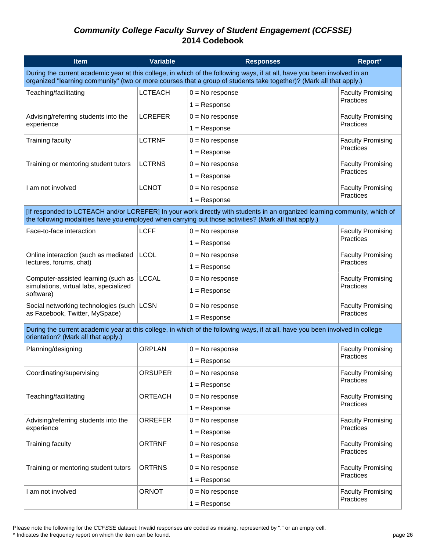| <b>Item</b>                                                                                                                                                                                                                                      | Variable       | <b>Responses</b>                                                                                                                                                                                                                   | Report*                                      |  |
|--------------------------------------------------------------------------------------------------------------------------------------------------------------------------------------------------------------------------------------------------|----------------|------------------------------------------------------------------------------------------------------------------------------------------------------------------------------------------------------------------------------------|----------------------------------------------|--|
| During the current academic year at this college, in which of the following ways, if at all, have you been involved in an<br>organized "learning community" (two or more courses that a group of students take together)? (Mark all that apply.) |                |                                                                                                                                                                                                                                    |                                              |  |
| Teaching/facilitating                                                                                                                                                                                                                            | <b>LCTEACH</b> | $0 = No$ response                                                                                                                                                                                                                  | <b>Faculty Promising</b>                     |  |
|                                                                                                                                                                                                                                                  |                | $1 =$ Response                                                                                                                                                                                                                     | Practices                                    |  |
| Advising/referring students into the                                                                                                                                                                                                             | <b>LCREFER</b> | $0 = No$ response                                                                                                                                                                                                                  | <b>Faculty Promising</b>                     |  |
| experience                                                                                                                                                                                                                                       |                | $1 =$ Response                                                                                                                                                                                                                     | Practices                                    |  |
| <b>Training faculty</b>                                                                                                                                                                                                                          | <b>LCTRNF</b>  | $0 = No$ response                                                                                                                                                                                                                  | <b>Faculty Promising</b>                     |  |
|                                                                                                                                                                                                                                                  |                | $1 =$ Response                                                                                                                                                                                                                     | Practices                                    |  |
| Training or mentoring student tutors                                                                                                                                                                                                             | <b>LCTRNS</b>  | $0 = No$ response                                                                                                                                                                                                                  | <b>Faculty Promising</b>                     |  |
|                                                                                                                                                                                                                                                  |                | $1 =$ Response                                                                                                                                                                                                                     | Practices                                    |  |
| I am not involved                                                                                                                                                                                                                                | <b>LCNOT</b>   | $0 = No$ response                                                                                                                                                                                                                  | <b>Faculty Promising</b>                     |  |
|                                                                                                                                                                                                                                                  |                | $1 =$ Response                                                                                                                                                                                                                     | Practices                                    |  |
|                                                                                                                                                                                                                                                  |                | [If responded to LCTEACH and/or LCREFER] In your work directly with students in an organized learning community, which of<br>the following modalities have you employed when carrying out those activities? (Mark all that apply.) |                                              |  |
| Face-to-face interaction                                                                                                                                                                                                                         | <b>LCFF</b>    | $0 = No$ response                                                                                                                                                                                                                  | <b>Faculty Promising</b>                     |  |
|                                                                                                                                                                                                                                                  |                | $1 =$ Response                                                                                                                                                                                                                     | Practices                                    |  |
| Online interaction (such as mediated                                                                                                                                                                                                             | <b>LCOL</b>    | $0 = No$ response                                                                                                                                                                                                                  | <b>Faculty Promising</b><br><b>Practices</b> |  |
| lectures, forums, chat)                                                                                                                                                                                                                          |                | $1 =$ Response                                                                                                                                                                                                                     |                                              |  |
| Computer-assisted learning (such as                                                                                                                                                                                                              | <b>LCCAL</b>   | $0 = No$ response                                                                                                                                                                                                                  | <b>Faculty Promising</b><br>Practices        |  |
| simulations, virtual labs, specialized<br>software)                                                                                                                                                                                              |                | $1 =$ Response                                                                                                                                                                                                                     |                                              |  |
| Social networking technologies (such<br>as Facebook, Twitter, MySpace)                                                                                                                                                                           | <b>LCSN</b>    | $0 = No$ response                                                                                                                                                                                                                  | <b>Faculty Promising</b><br>Practices        |  |
|                                                                                                                                                                                                                                                  |                | $1 =$ Response                                                                                                                                                                                                                     |                                              |  |
| orientation? (Mark all that apply.)                                                                                                                                                                                                              |                | During the current academic year at this college, in which of the following ways, if at all, have you been involved in college                                                                                                     |                                              |  |
| Planning/designing                                                                                                                                                                                                                               | <b>ORPLAN</b>  | $0 = No$ response                                                                                                                                                                                                                  | <b>Faculty Promising</b>                     |  |
|                                                                                                                                                                                                                                                  |                | $1 =$ Response                                                                                                                                                                                                                     | Practices                                    |  |
| Coordinating/supervising                                                                                                                                                                                                                         | <b>ORSUPER</b> | $0 = No$ response                                                                                                                                                                                                                  | <b>Faculty Promising</b>                     |  |
|                                                                                                                                                                                                                                                  |                | $1 =$ Response                                                                                                                                                                                                                     | Practices                                    |  |
| Teaching/facilitating                                                                                                                                                                                                                            | <b>ORTEACH</b> | $0 = No$ response                                                                                                                                                                                                                  | <b>Faculty Promising</b><br>Practices        |  |
|                                                                                                                                                                                                                                                  |                | $1 =$ Response                                                                                                                                                                                                                     |                                              |  |
| Advising/referring students into the<br>experience                                                                                                                                                                                               | <b>ORREFER</b> | $0 = No$ response                                                                                                                                                                                                                  | <b>Faculty Promising</b><br>Practices        |  |
|                                                                                                                                                                                                                                                  |                | $1 =$ Response                                                                                                                                                                                                                     |                                              |  |
| <b>Training faculty</b>                                                                                                                                                                                                                          | <b>ORTRNF</b>  | $0 = No$ response                                                                                                                                                                                                                  | <b>Faculty Promising</b><br>Practices        |  |
|                                                                                                                                                                                                                                                  |                | $1 =$ Response                                                                                                                                                                                                                     |                                              |  |
| Training or mentoring student tutors                                                                                                                                                                                                             | <b>ORTRNS</b>  | $0 = No$ response                                                                                                                                                                                                                  | <b>Faculty Promising</b><br>Practices        |  |
|                                                                                                                                                                                                                                                  |                | $1 =$ Response                                                                                                                                                                                                                     |                                              |  |
| I am not involved                                                                                                                                                                                                                                | <b>ORNOT</b>   | $0 = No$ response                                                                                                                                                                                                                  | <b>Faculty Promising</b><br>Practices        |  |
|                                                                                                                                                                                                                                                  |                | $1 =$ Response                                                                                                                                                                                                                     |                                              |  |

Please note the following for the *CCFSSE* dataset: Invalid responses are coded as missing, represented by "." or an empty cell.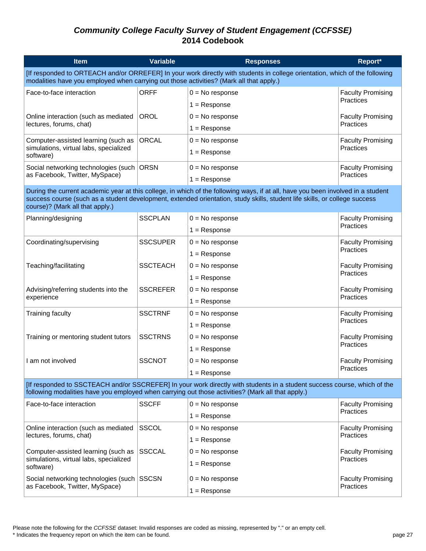| <b>Item</b>                                                                                                                                                                                                            | <b>Variable</b> | <b>Responses</b>                                                                                                                                                                                                                                               | Report*                  |  |
|------------------------------------------------------------------------------------------------------------------------------------------------------------------------------------------------------------------------|-----------------|----------------------------------------------------------------------------------------------------------------------------------------------------------------------------------------------------------------------------------------------------------------|--------------------------|--|
| [If responded to ORTEACH and/or ORREFER] In your work directly with students in college orientation, which of the following<br>modalities have you employed when carrying out those activities? (Mark all that apply.) |                 |                                                                                                                                                                                                                                                                |                          |  |
| Face-to-face interaction                                                                                                                                                                                               | <b>ORFF</b>     | $0 = No$ response                                                                                                                                                                                                                                              | <b>Faculty Promising</b> |  |
|                                                                                                                                                                                                                        |                 | $1 =$ Response                                                                                                                                                                                                                                                 | Practices                |  |
| Online interaction (such as mediated                                                                                                                                                                                   | <b>OROL</b>     | $0 = No$ response                                                                                                                                                                                                                                              | <b>Faculty Promising</b> |  |
| lectures, forums, chat)                                                                                                                                                                                                |                 | $1 =$ Response                                                                                                                                                                                                                                                 | Practices                |  |
| Computer-assisted learning (such as                                                                                                                                                                                    | <b>ORCAL</b>    | $0 = No$ response                                                                                                                                                                                                                                              | <b>Faculty Promising</b> |  |
| simulations, virtual labs, specialized<br>software)                                                                                                                                                                    |                 | $1 =$ Response                                                                                                                                                                                                                                                 | Practices                |  |
| Social networking technologies (such ORSN                                                                                                                                                                              |                 | $0 = No$ response                                                                                                                                                                                                                                              | <b>Faculty Promising</b> |  |
| as Facebook, Twitter, MySpace)                                                                                                                                                                                         |                 | $1 =$ Response                                                                                                                                                                                                                                                 | Practices                |  |
| course)? (Mark all that apply.)                                                                                                                                                                                        |                 | During the current academic year at this college, in which of the following ways, if at all, have you been involved in a student<br>success course (such as a student development, extended orientation, study skills, student life skills, or college success |                          |  |
| Planning/designing                                                                                                                                                                                                     | <b>SSCPLAN</b>  | $0 = No$ response                                                                                                                                                                                                                                              | <b>Faculty Promising</b> |  |
|                                                                                                                                                                                                                        |                 | $1 =$ Response                                                                                                                                                                                                                                                 | Practices                |  |
| Coordinating/supervising                                                                                                                                                                                               | <b>SSCSUPER</b> | $0 = No$ response                                                                                                                                                                                                                                              | <b>Faculty Promising</b> |  |
|                                                                                                                                                                                                                        |                 | $1 =$ Response                                                                                                                                                                                                                                                 | Practices                |  |
| Teaching/facilitating                                                                                                                                                                                                  | <b>SSCTEACH</b> | $0 = No$ response                                                                                                                                                                                                                                              | <b>Faculty Promising</b> |  |
|                                                                                                                                                                                                                        |                 | $1 =$ Response                                                                                                                                                                                                                                                 | Practices                |  |
| Advising/referring students into the                                                                                                                                                                                   | <b>SSCREFER</b> | $0 = No$ response                                                                                                                                                                                                                                              | <b>Faculty Promising</b> |  |
| experience                                                                                                                                                                                                             |                 | $1 =$ Response                                                                                                                                                                                                                                                 | Practices                |  |
| <b>Training faculty</b>                                                                                                                                                                                                | <b>SSCTRNF</b>  | $0 = No$ response                                                                                                                                                                                                                                              | <b>Faculty Promising</b> |  |
|                                                                                                                                                                                                                        |                 | $1 =$ Response                                                                                                                                                                                                                                                 | Practices                |  |
| Training or mentoring student tutors                                                                                                                                                                                   | <b>SSCTRNS</b>  | $0 = No$ response                                                                                                                                                                                                                                              | <b>Faculty Promising</b> |  |
|                                                                                                                                                                                                                        |                 | $1 =$ Response                                                                                                                                                                                                                                                 | Practices                |  |
| I am not involved                                                                                                                                                                                                      | <b>SSCNOT</b>   | $0 = No$ response                                                                                                                                                                                                                                              | <b>Faculty Promising</b> |  |
|                                                                                                                                                                                                                        |                 | $1 =$ Response                                                                                                                                                                                                                                                 | Practices                |  |
|                                                                                                                                                                                                                        |                 | [If responded to SSCTEACH and/or SSCREFER] In your work directly with students in a student success course, which of the<br>following modalities have you employed when carrying out those activities? (Mark all that apply.)                                  |                          |  |
| Face-to-face interaction                                                                                                                                                                                               | <b>SSCFF</b>    | $0 = No$ response                                                                                                                                                                                                                                              | <b>Faculty Promising</b> |  |
|                                                                                                                                                                                                                        |                 | $1 =$ Response                                                                                                                                                                                                                                                 | Practices                |  |
| Online interaction (such as mediated                                                                                                                                                                                   | <b>SSCOL</b>    | $0 = No$ response                                                                                                                                                                                                                                              | <b>Faculty Promising</b> |  |
| lectures, forums, chat)                                                                                                                                                                                                |                 | $1 =$ Response                                                                                                                                                                                                                                                 | Practices                |  |
| Computer-assisted learning (such as                                                                                                                                                                                    | <b>SSCCAL</b>   | $0 = No$ response                                                                                                                                                                                                                                              | <b>Faculty Promising</b> |  |
| simulations, virtual labs, specialized<br>software)                                                                                                                                                                    |                 | $1 =$ Response                                                                                                                                                                                                                                                 | Practices                |  |
| Social networking technologies (such                                                                                                                                                                                   | <b>SSCSN</b>    | $0 = No$ response                                                                                                                                                                                                                                              | <b>Faculty Promising</b> |  |
| as Facebook, Twitter, MySpace)                                                                                                                                                                                         |                 | $1 =$ Response                                                                                                                                                                                                                                                 | Practices                |  |
|                                                                                                                                                                                                                        |                 |                                                                                                                                                                                                                                                                |                          |  |

Please note the following for the *CCFSSE* dataset: Invalid responses are coded as missing, represented by "." or an empty cell.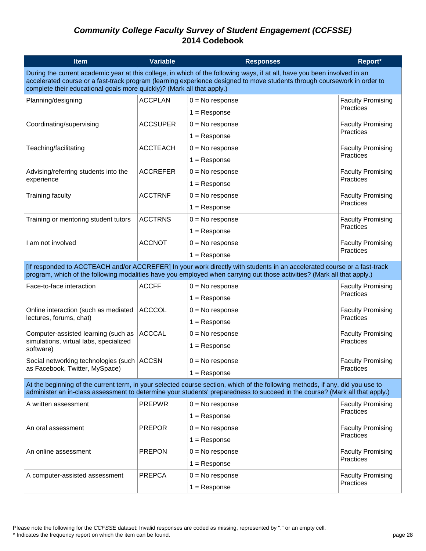| <b>Item</b>                                                                                                                                                                                                                                                                                                                     | <b>Variable</b> | <b>Responses</b>                                                                                                                                                                                                                                   | Report*                               |  |
|---------------------------------------------------------------------------------------------------------------------------------------------------------------------------------------------------------------------------------------------------------------------------------------------------------------------------------|-----------------|----------------------------------------------------------------------------------------------------------------------------------------------------------------------------------------------------------------------------------------------------|---------------------------------------|--|
| During the current academic year at this college, in which of the following ways, if at all, have you been involved in an<br>accelerated course or a fast-track program (learning experience designed to move students through coursework in order to<br>complete their educational goals more quickly)? (Mark all that apply.) |                 |                                                                                                                                                                                                                                                    |                                       |  |
| Planning/designing                                                                                                                                                                                                                                                                                                              | ACCPLAN         | $0 = No$ response                                                                                                                                                                                                                                  | <b>Faculty Promising</b>              |  |
|                                                                                                                                                                                                                                                                                                                                 |                 | $1 =$ Response                                                                                                                                                                                                                                     | Practices                             |  |
| Coordinating/supervising                                                                                                                                                                                                                                                                                                        | <b>ACCSUPER</b> | $0 = No$ response                                                                                                                                                                                                                                  | <b>Faculty Promising</b><br>Practices |  |
|                                                                                                                                                                                                                                                                                                                                 |                 | $1 =$ Response                                                                                                                                                                                                                                     |                                       |  |
| Teaching/facilitating                                                                                                                                                                                                                                                                                                           | <b>ACCTEACH</b> | $0 = No$ response                                                                                                                                                                                                                                  | <b>Faculty Promising</b>              |  |
|                                                                                                                                                                                                                                                                                                                                 |                 | $1 =$ Response                                                                                                                                                                                                                                     | <b>Practices</b>                      |  |
| Advising/referring students into the                                                                                                                                                                                                                                                                                            | <b>ACCREFER</b> | $0 = No$ response                                                                                                                                                                                                                                  | <b>Faculty Promising</b>              |  |
| experience                                                                                                                                                                                                                                                                                                                      |                 | $1 =$ Response                                                                                                                                                                                                                                     | Practices                             |  |
| <b>Training faculty</b>                                                                                                                                                                                                                                                                                                         | <b>ACCTRNF</b>  | $0 = No$ response                                                                                                                                                                                                                                  | <b>Faculty Promising</b>              |  |
|                                                                                                                                                                                                                                                                                                                                 |                 | $1 =$ Response                                                                                                                                                                                                                                     | Practices                             |  |
| Training or mentoring student tutors                                                                                                                                                                                                                                                                                            | <b>ACCTRNS</b>  | $0 = No$ response                                                                                                                                                                                                                                  | <b>Faculty Promising</b>              |  |
|                                                                                                                                                                                                                                                                                                                                 |                 | $1 =$ Response                                                                                                                                                                                                                                     | Practices                             |  |
| I am not involved                                                                                                                                                                                                                                                                                                               | <b>ACCNOT</b>   | $0 = No$ response                                                                                                                                                                                                                                  | <b>Faculty Promising</b>              |  |
|                                                                                                                                                                                                                                                                                                                                 |                 | $1 =$ Response                                                                                                                                                                                                                                     | Practices                             |  |
|                                                                                                                                                                                                                                                                                                                                 |                 | [If responded to ACCTEACH and/or ACCREFER] In your work directly with students in an accelerated course or a fast-track<br>program, which of the following modalities have you employed when carrying out those activities? (Mark all that apply.) |                                       |  |
| Face-to-face interaction                                                                                                                                                                                                                                                                                                        | <b>ACCFF</b>    | $0 = No$ response                                                                                                                                                                                                                                  | <b>Faculty Promising</b>              |  |
|                                                                                                                                                                                                                                                                                                                                 |                 | $1 =$ Response                                                                                                                                                                                                                                     | <b>Practices</b>                      |  |
| Online interaction (such as mediated                                                                                                                                                                                                                                                                                            | <b>ACCCOL</b>   | $0 = No$ response                                                                                                                                                                                                                                  | <b>Faculty Promising</b>              |  |
| lectures, forums, chat)                                                                                                                                                                                                                                                                                                         |                 | $1 =$ Response                                                                                                                                                                                                                                     | Practices                             |  |
| Computer-assisted learning (such as                                                                                                                                                                                                                                                                                             | <b>ACCCAL</b>   | $0 = No$ response                                                                                                                                                                                                                                  | <b>Faculty Promising</b>              |  |
| simulations, virtual labs, specialized<br>software)                                                                                                                                                                                                                                                                             |                 | $1 =$ Response                                                                                                                                                                                                                                     | <b>Practices</b>                      |  |
| Social networking technologies (such   ACCSN                                                                                                                                                                                                                                                                                    |                 | $0 = No$ response                                                                                                                                                                                                                                  | <b>Faculty Promising</b>              |  |
| as Facebook, Twitter, MySpace)                                                                                                                                                                                                                                                                                                  |                 | $1 =$ Response                                                                                                                                                                                                                                     | Practices                             |  |
| At the beginning of the current term, in your selected course section, which of the following methods, if any, did you use to<br>administer an in-class assessment to determine your students' preparedness to succeed in the course? (Mark all that apply.)                                                                    |                 |                                                                                                                                                                                                                                                    |                                       |  |
| A written assessment                                                                                                                                                                                                                                                                                                            | <b>PREPWR</b>   | $0 = No$ response                                                                                                                                                                                                                                  | <b>Faculty Promising</b>              |  |
|                                                                                                                                                                                                                                                                                                                                 |                 | $1 =$ Response                                                                                                                                                                                                                                     | Practices                             |  |
| An oral assessment                                                                                                                                                                                                                                                                                                              | <b>PREPOR</b>   | $0 = No$ response                                                                                                                                                                                                                                  | <b>Faculty Promising</b>              |  |
|                                                                                                                                                                                                                                                                                                                                 |                 | $1 =$ Response                                                                                                                                                                                                                                     | <b>Practices</b>                      |  |
| An online assessment                                                                                                                                                                                                                                                                                                            | <b>PREPON</b>   | $0 = No$ response                                                                                                                                                                                                                                  | <b>Faculty Promising</b>              |  |
|                                                                                                                                                                                                                                                                                                                                 |                 | $1 =$ Response                                                                                                                                                                                                                                     | <b>Practices</b>                      |  |
| A computer-assisted assessment                                                                                                                                                                                                                                                                                                  | <b>PREPCA</b>   | $0 = No$ response                                                                                                                                                                                                                                  | <b>Faculty Promising</b>              |  |
|                                                                                                                                                                                                                                                                                                                                 |                 | $1 =$ Response                                                                                                                                                                                                                                     | Practices                             |  |

Please note the following for the *CCFSSE* dataset: Invalid responses are coded as missing, represented by "." or an empty cell.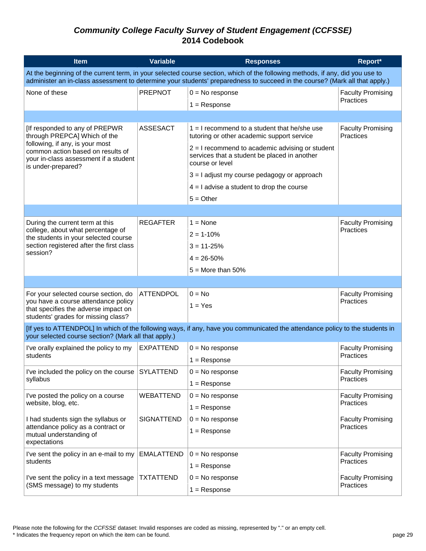| <b>Item</b>                                                                                                                                                                                                                                                  | Variable          | <b>Responses</b>                                                                                                             | Report*                               |  |
|--------------------------------------------------------------------------------------------------------------------------------------------------------------------------------------------------------------------------------------------------------------|-------------------|------------------------------------------------------------------------------------------------------------------------------|---------------------------------------|--|
| At the beginning of the current term, in your selected course section, which of the following methods, if any, did you use to<br>administer an in-class assessment to determine your students' preparedness to succeed in the course? (Mark all that apply.) |                   |                                                                                                                              |                                       |  |
| None of these                                                                                                                                                                                                                                                | <b>PREPNOT</b>    | $0 = No$ response                                                                                                            | <b>Faculty Promising</b>              |  |
|                                                                                                                                                                                                                                                              |                   | $1 =$ Response                                                                                                               | Practices                             |  |
|                                                                                                                                                                                                                                                              |                   |                                                                                                                              |                                       |  |
| [If responded to any of PREPWR<br>through PREPCA] Which of the                                                                                                                                                                                               | <b>ASSESACT</b>   | $1 = 1$ recommend to a student that he/she use<br>tutoring or other academic support service                                 | <b>Faculty Promising</b><br>Practices |  |
| following, if any, is your most<br>common action based on results of<br>your in-class assessment if a student<br>is under-prepared?                                                                                                                          |                   | $2 = 1$ recommend to academic advising or student<br>services that a student be placed in another<br>course or level         |                                       |  |
|                                                                                                                                                                                                                                                              |                   | $3 = 1$ adjust my course pedagogy or approach                                                                                |                                       |  |
|                                                                                                                                                                                                                                                              |                   | $4 = 1$ advise a student to drop the course                                                                                  |                                       |  |
|                                                                                                                                                                                                                                                              |                   | $5 = Other$                                                                                                                  |                                       |  |
|                                                                                                                                                                                                                                                              |                   |                                                                                                                              |                                       |  |
| During the current term at this                                                                                                                                                                                                                              | <b>REGAFTER</b>   | $1 = \text{None}$                                                                                                            | <b>Faculty Promising</b>              |  |
| college, about what percentage of<br>the students in your selected course                                                                                                                                                                                    |                   | $2 = 1 - 10\%$                                                                                                               | Practices                             |  |
| section registered after the first class                                                                                                                                                                                                                     |                   | $3 = 11 - 25%$                                                                                                               |                                       |  |
| session?                                                                                                                                                                                                                                                     |                   | $4 = 26 - 50%$                                                                                                               |                                       |  |
|                                                                                                                                                                                                                                                              |                   | $5 =$ More than 50%                                                                                                          |                                       |  |
|                                                                                                                                                                                                                                                              |                   |                                                                                                                              |                                       |  |
| For your selected course section, do                                                                                                                                                                                                                         | <b>ATTENDPOL</b>  | $0 = No$                                                                                                                     | <b>Faculty Promising</b>              |  |
| you have a course attendance policy<br>that specifies the adverse impact on<br>students' grades for missing class?                                                                                                                                           |                   | $1 = Yes$                                                                                                                    | Practices                             |  |
| your selected course section? (Mark all that apply.)                                                                                                                                                                                                         |                   | [If yes to ATTENDPOL] In which of the following ways, if any, have you communicated the attendance policy to the students in |                                       |  |
| I've orally explained the policy to my                                                                                                                                                                                                                       | <b>EXPATTEND</b>  | $0 = No$ response                                                                                                            | <b>Faculty Promising</b>              |  |
| students                                                                                                                                                                                                                                                     |                   | $1 =$ Response                                                                                                               | Practices                             |  |
| I've included the policy on the course                                                                                                                                                                                                                       | <b>SYLATTEND</b>  | $0 = No$ response                                                                                                            | <b>Faculty Promising</b>              |  |
| syllabus                                                                                                                                                                                                                                                     |                   | $1 =$ Response                                                                                                               | Practices                             |  |
| I've posted the policy on a course                                                                                                                                                                                                                           | WEBATTEND         | $0 = No$ response                                                                                                            | <b>Faculty Promising</b>              |  |
| website, blog, etc.                                                                                                                                                                                                                                          |                   | $1 =$ Response                                                                                                               | Practices                             |  |
| I had students sign the syllabus or                                                                                                                                                                                                                          | <b>SIGNATTEND</b> | $0 = No$ response                                                                                                            | <b>Faculty Promising</b>              |  |
| attendance policy as a contract or<br>mutual understanding of<br>expectations                                                                                                                                                                                |                   | $1 =$ Response                                                                                                               | Practices                             |  |
| I've sent the policy in an e-mail to my                                                                                                                                                                                                                      | <b>EMALATTEND</b> | $0 = No$ response                                                                                                            | <b>Faculty Promising</b>              |  |
| students                                                                                                                                                                                                                                                     |                   | $1 =$ Response                                                                                                               | Practices                             |  |
| I've sent the policy in a text message                                                                                                                                                                                                                       | <b>TXTATTEND</b>  | $0 = No$ response                                                                                                            | <b>Faculty Promising</b>              |  |
| (SMS message) to my students                                                                                                                                                                                                                                 |                   | $1 =$ Response                                                                                                               | Practices                             |  |

Please note the following for the *CCFSSE* dataset: Invalid responses are coded as missing, represented by "." or an empty cell.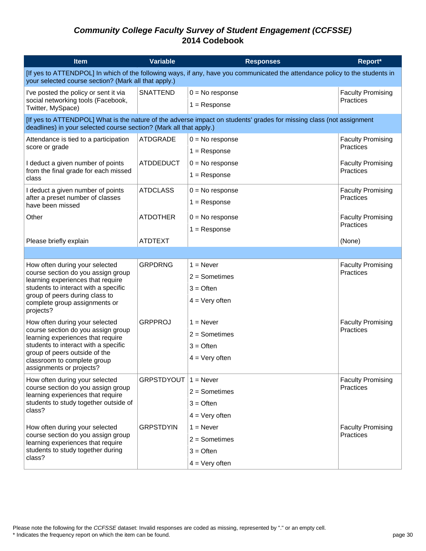| <b>Item</b>                                                                                                                                                                          | <b>Variable</b>   | <b>Responses</b>                                                                                                     | Report*                               |  |
|--------------------------------------------------------------------------------------------------------------------------------------------------------------------------------------|-------------------|----------------------------------------------------------------------------------------------------------------------|---------------------------------------|--|
| [If yes to ATTENDPOL] In which of the following ways, if any, have you communicated the attendance policy to the students in<br>your selected course section? (Mark all that apply.) |                   |                                                                                                                      |                                       |  |
| I've posted the policy or sent it via                                                                                                                                                | <b>SNATTEND</b>   | $0 = No$ response                                                                                                    | <b>Faculty Promising</b>              |  |
| social networking tools (Facebook,<br>Twitter, MySpace)                                                                                                                              |                   | $1 =$ Response                                                                                                       | Practices                             |  |
| deadlines) in your selected course section? (Mark all that apply.)                                                                                                                   |                   | [If yes to ATTENDPOL] What is the nature of the adverse impact on students' grades for missing class (not assignment |                                       |  |
| Attendance is tied to a participation                                                                                                                                                | <b>ATDGRADE</b>   | $0 = No$ response                                                                                                    | <b>Faculty Promising</b>              |  |
| score or grade                                                                                                                                                                       |                   | $1 =$ Response                                                                                                       | Practices                             |  |
| I deduct a given number of points                                                                                                                                                    | <b>ATDDEDUCT</b>  | $0 = No$ response                                                                                                    | <b>Faculty Promising</b><br>Practices |  |
| from the final grade for each missed<br>class                                                                                                                                        |                   | $1 =$ Response                                                                                                       |                                       |  |
| I deduct a given number of points                                                                                                                                                    | <b>ATDCLASS</b>   | $0 = No$ response                                                                                                    | <b>Faculty Promising</b>              |  |
| after a preset number of classes<br>have been missed                                                                                                                                 |                   | $1 =$ Response                                                                                                       | Practices                             |  |
| Other                                                                                                                                                                                | <b>ATDOTHER</b>   | $0 = No$ response                                                                                                    | <b>Faculty Promising</b>              |  |
|                                                                                                                                                                                      |                   | $1 =$ Response                                                                                                       | Practices                             |  |
| Please briefly explain                                                                                                                                                               | <b>ATDTEXT</b>    |                                                                                                                      | (None)                                |  |
|                                                                                                                                                                                      |                   |                                                                                                                      |                                       |  |
| How often during your selected                                                                                                                                                       | <b>GRPDRNG</b>    | $1 =$ Never                                                                                                          | <b>Faculty Promising</b><br>Practices |  |
| course section do you assign group<br>learning experiences that require                                                                                                              |                   | $2 =$ Sometimes                                                                                                      |                                       |  |
| students to interact with a specific<br>group of peers during class to                                                                                                               |                   | $3 =$ Often                                                                                                          |                                       |  |
| complete group assignments or<br>projects?                                                                                                                                           |                   | $4 = Very often$                                                                                                     |                                       |  |
| How often during your selected                                                                                                                                                       | <b>GRPPROJ</b>    | $1 =$ Never                                                                                                          | <b>Faculty Promising</b>              |  |
| course section do you assign group<br>learning experiences that require                                                                                                              |                   | $2 =$ Sometimes                                                                                                      | Practices                             |  |
| students to interact with a specific                                                                                                                                                 |                   | $3 =$ Often                                                                                                          |                                       |  |
| group of peers outside of the<br>classroom to complete group<br>assignments or projects?                                                                                             |                   | $4 = Very$ often                                                                                                     |                                       |  |
| How often during your selected                                                                                                                                                       | <b>GRPSTDYOUT</b> | $1 =$ Never                                                                                                          | <b>Faculty Promising</b>              |  |
| course section do you assign group<br>learning experiences that require                                                                                                              |                   | $2 =$ Sometimes                                                                                                      | Practices                             |  |
| students to study together outside of                                                                                                                                                |                   | $3 =$ Often                                                                                                          |                                       |  |
| class?                                                                                                                                                                               |                   | $4 = Very often$                                                                                                     |                                       |  |
| How often during your selected                                                                                                                                                       | <b>GRPSTDYIN</b>  | $1 =$ Never                                                                                                          | <b>Faculty Promising</b>              |  |
| course section do you assign group<br>learning experiences that require                                                                                                              |                   | $2 =$ Sometimes                                                                                                      | Practices                             |  |
| students to study together during<br>class?                                                                                                                                          |                   | $3 =$ Often                                                                                                          |                                       |  |
|                                                                                                                                                                                      |                   | $4 = Very often$                                                                                                     |                                       |  |

Please note the following for the *CCFSSE* dataset: Invalid responses are coded as missing, represented by "." or an empty cell.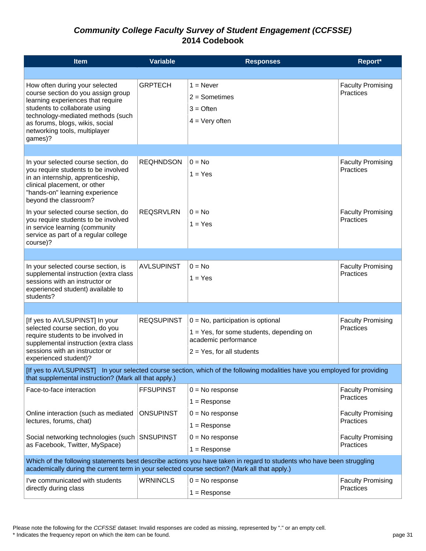| <b>Item</b>                                                                                                                                                                                                                                                    | <b>Variable</b>   | <b>Responses</b>                                                                                                                            | Report*                               |
|----------------------------------------------------------------------------------------------------------------------------------------------------------------------------------------------------------------------------------------------------------------|-------------------|---------------------------------------------------------------------------------------------------------------------------------------------|---------------------------------------|
|                                                                                                                                                                                                                                                                |                   |                                                                                                                                             |                                       |
| How often during your selected<br>course section do you assign group<br>learning experiences that require<br>students to collaborate using<br>technology-mediated methods (such<br>as forums, blogs, wikis, social<br>networking tools, multiplayer<br>games)? | <b>GRPTECH</b>    | $1 =$ Never<br>$2 =$ Sometimes<br>$3 =$ Often<br>$4 = Very$ often                                                                           | <b>Faculty Promising</b><br>Practices |
|                                                                                                                                                                                                                                                                |                   |                                                                                                                                             |                                       |
| In your selected course section, do<br>you require students to be involved<br>in an internship, apprenticeship,<br>clinical placement, or other<br>"hands-on" learning experience<br>beyond the classroom?                                                     | <b>REQHNDSON</b>  | $0 = No$<br>$1 = Yes$                                                                                                                       | <b>Faculty Promising</b><br>Practices |
| In your selected course section, do<br>you require students to be involved<br>in service learning (community<br>service as part of a regular college<br>course)?                                                                                               | <b>REQSRVLRN</b>  | $0 = No$<br>$1 = Yes$                                                                                                                       | <b>Faculty Promising</b><br>Practices |
|                                                                                                                                                                                                                                                                |                   |                                                                                                                                             |                                       |
| In your selected course section, is<br>supplemental instruction (extra class<br>sessions with an instructor or<br>experienced student) available to<br>students?                                                                                               | <b>AVLSUPINST</b> | $0 = No$<br>$1 = Yes$                                                                                                                       | <b>Faculty Promising</b><br>Practices |
|                                                                                                                                                                                                                                                                |                   |                                                                                                                                             |                                       |
| [If yes to AVLSUPINST] In your<br>selected course section, do you<br>require students to be involved in<br>supplemental instruction (extra class<br>sessions with an instructor or<br>experienced student)?                                                    | <b>REQSUPINST</b> | $0 = No$ , participation is optional<br>$1 = Yes$ , for some students, depending on<br>academic performance<br>$2 = Yes$ , for all students | <b>Faculty Promising</b><br>Practices |
| that supplemental instruction? (Mark all that apply.)                                                                                                                                                                                                          |                   | [If yes to AVLSUPINST] In your selected course section, which of the following modalities have you employed for providing                   |                                       |
| Face-to-face interaction                                                                                                                                                                                                                                       | <b>FFSUPINST</b>  | $0 = No$ response<br>$1 =$ Response                                                                                                         | <b>Faculty Promising</b><br>Practices |
| Online interaction (such as mediated<br>lectures, forums, chat)                                                                                                                                                                                                | <b>ONSUPINST</b>  | $0 = No$ response                                                                                                                           | <b>Faculty Promising</b><br>Practices |
|                                                                                                                                                                                                                                                                |                   | $1 =$ Response                                                                                                                              |                                       |
| Social networking technologies (such<br>as Facebook, Twitter, MySpace)                                                                                                                                                                                         | <b>SNSUPINST</b>  | $0 = No$ response<br>$1 =$ Response                                                                                                         | <b>Faculty Promising</b><br>Practices |
| Which of the following statements best describe actions you have taken in regard to students who have been struggling<br>academically during the current term in your selected course section? (Mark all that apply.)                                          |                   |                                                                                                                                             |                                       |
| I've communicated with students<br>directly during class                                                                                                                                                                                                       | <b>WRNINCLS</b>   | $0 = No$ response                                                                                                                           | <b>Faculty Promising</b><br>Practices |
|                                                                                                                                                                                                                                                                |                   | $1 =$ Response                                                                                                                              |                                       |

Please note the following for the *CCFSSE* dataset: Invalid responses are coded as missing, represented by "." or an empty cell.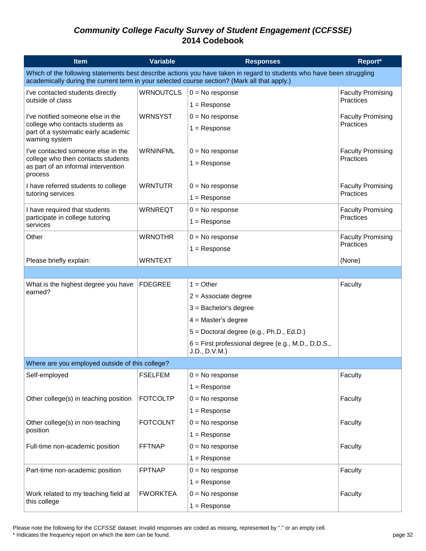| <b>Item</b>                                                                                  | <b>Variable</b>  | <b>Responses</b>                                                                                                      | Report*                               |
|----------------------------------------------------------------------------------------------|------------------|-----------------------------------------------------------------------------------------------------------------------|---------------------------------------|
| academically during the current term in your selected course section? (Mark all that apply.) |                  | Which of the following statements best describe actions you have taken in regard to students who have been struggling |                                       |
| I've contacted students directly                                                             | <b>WRNOUTCLS</b> | $0 = No$ response                                                                                                     | <b>Faculty Promising</b>              |
| outside of class                                                                             |                  | $1 =$ Response                                                                                                        | Practices                             |
| I've notified someone else in the                                                            | <b>WRNSYST</b>   | $0 = No$ response                                                                                                     | <b>Faculty Promising</b>              |
| college who contacts students as<br>part of a systematic early academic<br>warning system    |                  | $1 =$ Response                                                                                                        | Practices                             |
| I've contacted someone else in the                                                           | <b>WRNINFML</b>  | $0 = No$ response                                                                                                     | <b>Faculty Promising</b><br>Practices |
| college who then contacts students<br>as part of an informal intervention<br>process         |                  | $1 =$ Response                                                                                                        |                                       |
| I have referred students to college                                                          | <b>WRNTUTR</b>   | $0 = No$ response                                                                                                     | <b>Faculty Promising</b>              |
| tutoring services                                                                            |                  | $1 =$ Response                                                                                                        | Practices                             |
| I have required that students                                                                | <b>WRNREQT</b>   | $0 = No$ response                                                                                                     | <b>Faculty Promising</b>              |
| participate in college tutoring<br>services                                                  |                  | $1 =$ Response                                                                                                        | Practices                             |
| Other                                                                                        | <b>WRNOTHR</b>   | $0 = No$ response                                                                                                     | <b>Faculty Promising</b>              |
|                                                                                              |                  | $1 =$ Response                                                                                                        | Practices                             |
| Please briefly explain:                                                                      | <b>WRNTEXT</b>   |                                                                                                                       | (None)                                |
|                                                                                              |                  |                                                                                                                       |                                       |
| What is the highest degree you have                                                          | <b>FDEGREE</b>   | $1 = Other$                                                                                                           | Faculty                               |
| earned?                                                                                      |                  | $2 =$ Associate degree                                                                                                |                                       |
|                                                                                              |                  | $3 =$ Bachelor's degree                                                                                               |                                       |
|                                                                                              |                  | $4 = Master's degree$                                                                                                 |                                       |
|                                                                                              |                  | $5 =$ Doctoral degree (e.g., Ph.D., Ed.D.)                                                                            |                                       |
|                                                                                              |                  | $6$ = First professional degree (e.g., M.D., D.D.S.,<br>J.D., D.V.M.)                                                 |                                       |
| Where are you employed outside of this college?                                              |                  |                                                                                                                       |                                       |
| Self-employed                                                                                | <b>FSELFEM</b>   | $0 = No$ response                                                                                                     | Faculty                               |
|                                                                                              |                  | $1 =$ Response                                                                                                        |                                       |
| Other college(s) in teaching position                                                        | <b>FOTCOLTP</b>  | $0 = No$ response                                                                                                     | Faculty                               |
|                                                                                              |                  | $1 =$ Response                                                                                                        |                                       |
| Other college(s) in non-teaching<br>position                                                 | <b>FOTCOLNT</b>  | $0 = No$ response                                                                                                     | Faculty                               |
|                                                                                              |                  | $1 =$ Response                                                                                                        |                                       |
| Full-time non-academic position                                                              | <b>FFTNAP</b>    | $0 = No$ response                                                                                                     | Faculty                               |
|                                                                                              |                  | $1 =$ Response                                                                                                        |                                       |
| Part-time non-academic position                                                              | <b>FPTNAP</b>    | $0 = No$ response                                                                                                     | Faculty                               |
|                                                                                              |                  | $1 =$ Response                                                                                                        |                                       |
| Work related to my teaching field at<br>this college                                         | <b>FWORKTEA</b>  | $0 = No$ response                                                                                                     | Faculty                               |
|                                                                                              |                  | $1 =$ Response                                                                                                        |                                       |

Please note the following for the *CCFSSE* dataset: Invalid responses are coded as missing, represented by "." or an empty cell.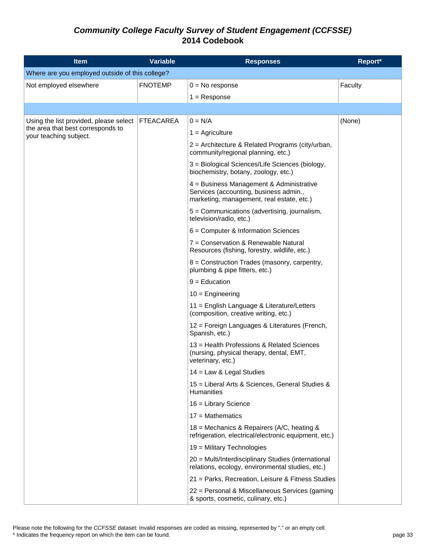| <b>Item</b>                                                 | <b>Variable</b>  | <b>Responses</b>                                                                                                                | Report* |
|-------------------------------------------------------------|------------------|---------------------------------------------------------------------------------------------------------------------------------|---------|
| Where are you employed outside of this college?             |                  |                                                                                                                                 |         |
| Not employed elsewhere                                      | <b>FNOTEMP</b>   | $0 = No$ response                                                                                                               | Faculty |
|                                                             |                  | $1 =$ Response                                                                                                                  |         |
|                                                             |                  |                                                                                                                                 |         |
| Using the list provided, please select                      | <b>FTEACAREA</b> | $0 = N/A$                                                                                                                       | (None)  |
| the area that best corresponds to<br>your teaching subject. |                  | $1 =$ Agriculture                                                                                                               |         |
|                                                             |                  | $2$ = Architecture & Related Programs (city/urban,<br>community/regional planning, etc.)                                        |         |
|                                                             |                  | 3 = Biological Sciences/Life Sciences (biology,<br>biochemistry, botany, zoology, etc.)                                         |         |
|                                                             |                  | 4 = Business Management & Administrative<br>Services (accounting, business admin.,<br>marketing, management, real estate, etc.) |         |
|                                                             |                  | 5 = Communications (advertising, journalism,<br>television/radio, etc.)                                                         |         |
|                                                             |                  | 6 = Computer & Information Sciences                                                                                             |         |
|                                                             |                  | 7 = Conservation & Renewable Natural<br>Resources (fishing, forestry, wildlife, etc.)                                           |         |
|                                                             |                  | 8 = Construction Trades (masonry, carpentry,<br>plumbing & pipe fitters, etc.)                                                  |         |
|                                                             |                  | $9 =$ Education                                                                                                                 |         |
|                                                             |                  | $10 =$ Engineering                                                                                                              |         |
|                                                             |                  | 11 = English Language & Literature/Letters<br>(composition, creative writing, etc.)                                             |         |
|                                                             |                  | 12 = Foreign Languages & Literatures (French,<br>Spanish, etc.)                                                                 |         |
|                                                             |                  | 13 = Health Professions & Related Sciences<br>(nursing, physical therapy, dental, EMT,<br>veterinary, etc.)                     |         |
|                                                             |                  | 14 = Law & Legal Studies                                                                                                        |         |
|                                                             |                  | 15 = Liberal Arts & Sciences, General Studies &<br>Humanities                                                                   |         |
|                                                             |                  | 16 = Library Science                                                                                                            |         |
|                                                             |                  | $17 = \text{Mathematics}$                                                                                                       |         |
|                                                             |                  | 18 = Mechanics & Repairers (A/C, heating &<br>refrigeration, electrical/electronic equipment, etc.)                             |         |
|                                                             |                  | 19 = Military Technologies                                                                                                      |         |
|                                                             |                  | 20 = Multi/Interdisciplinary Studies (international<br>relations, ecology, environmental studies, etc.)                         |         |
|                                                             |                  | 21 = Parks, Recreation, Leisure & Fitness Studies                                                                               |         |
|                                                             |                  | 22 = Personal & Miscellaneous Services (gaming<br>& sports, cosmetic, culinary, etc.)                                           |         |

Please note the following for the *CCFSSE* dataset: Invalid responses are coded as missing, represented by "." or an empty cell. \* Indicates the frequency report on which the item can be found. page 33